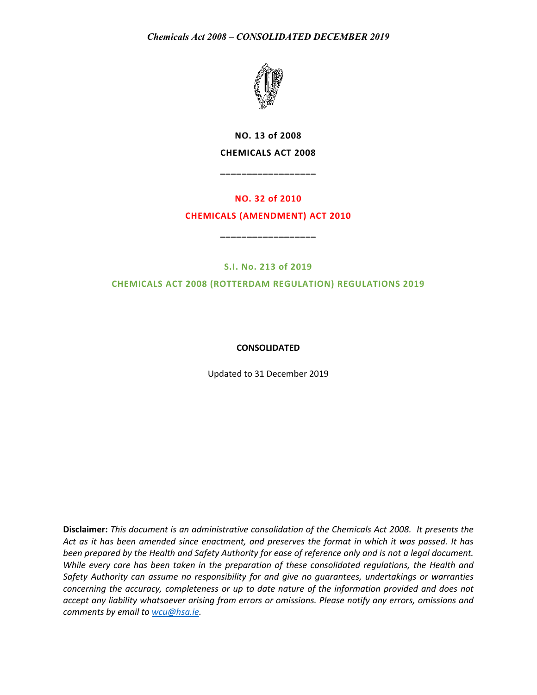

**NO. 13 of 2008 CHEMICALS ACT 2008**

**\_\_\_\_\_\_\_\_\_\_\_\_\_\_\_\_\_\_**

# **NO. 32 of 2010 CHEMICALS (AMENDMENT) ACT 2010**

**\_\_\_\_\_\_\_\_\_\_\_\_\_\_\_\_\_\_**

**S.I. No. 213 of 2019**

**CHEMICALS ACT 2008 (ROTTERDAM REGULATION) REGULATIONS 2019**

# **CONSOLIDATED**

Updated to 31 December 2019

**Disclaimer:** *This document is an administrative consolidation of the Chemicals Act 2008. It presents the Act as it has been amended since enactment, and preserves the format in which it was passed. It has been prepared by the Health and Safety Authority for ease of reference only and is not a legal document. While every care has been taken in the preparation of these consolidated regulations, the Health and Safety Authority can assume no responsibility for and give no guarantees, undertakings or warranties concerning the accuracy, completeness or up to date nature of the information provided and does not accept any liability whatsoever arising from errors or omissions. Please notify any errors, omissions and comments by email to [wcu@hsa.ie.](mailto:wcu@hsa.ie)*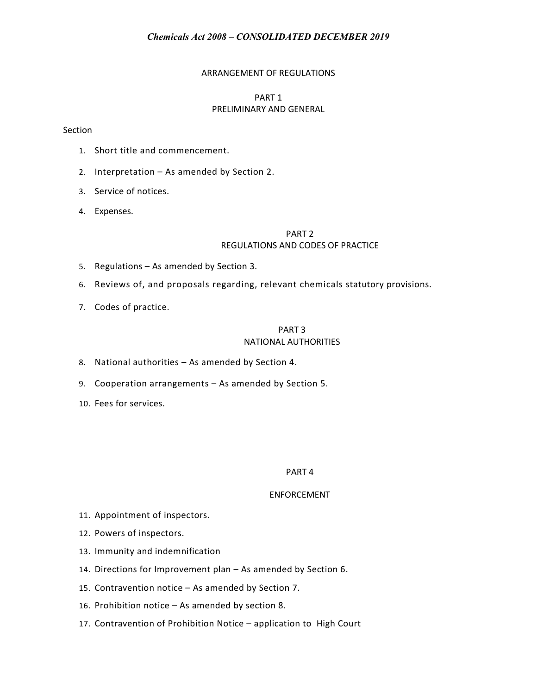# ARRANGEMENT OF REGULATIONS

# PART 1 PRELIMINARY AND GENERAL

### Section

- 1. Short title and commencement.
- 2. Interpretation As amended by Section 2.
- 3. Service of notices.
- 4. Expenses.

# PART 2 REGULATIONS AND CODES OF PRACTICE

- 5. Regulations As amended by Section 3.
- 6. Reviews of, and proposals regarding, relevant chemicals statutory provisions.
- 7. Codes of practice.

# PART 3 NATIONAL AUTHORITIES

- 8. National authorities As amended by Section 4.
- 9. Cooperation arrangements As amended by Section 5.
- 10. Fees for services.

#### PART 4

### ENFORCEMENT

- 11. Appointment of inspectors.
- 12. Powers of inspectors.
- 13. Immunity and indemnification
- 14. Directions for Improvement plan As amended by Section 6.
- 15. Contravention notice As amended by Section 7.
- 16. Prohibition notice As amended by section 8.
- 17. Contravention of Prohibition Notice application to High Court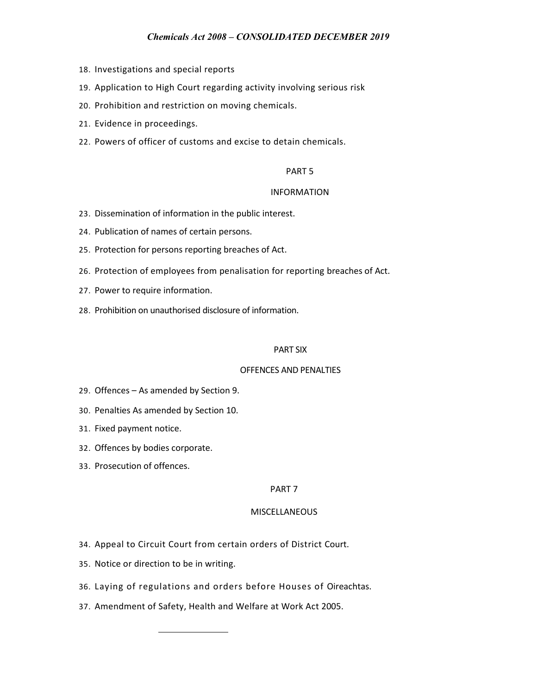- 18. Investigations and special reports
- 19. Application to High Court regarding activity involving serious risk
- 20. Prohibition and restriction on moving chemicals.
- 21. Evidence in proceedings.
- 22. Powers of officer of customs and excise to detain chemicals.

### PART 5

### INFORMATION

- 23. Dissemination of information in the public interest.
- 24. Publication of names of certain persons.
- 25. Protection for persons reporting breaches of Act.
- 26. Protection of employees from penalisation for reporting breaches of Act.
- 27. Power to require information.
- 28. Prohibition on unauthorised disclosure of information.

#### PART SIX

# OFFENCES AND PENALTIES

- 29. Offences As amended by Section 9.
- 30. Penalties As amended by Section 10.
- 31. Fixed payment notice.
- 32. Offences by bodies corporate.
- 33. Prosecution of offences.

### PART 7

### MISCELLANEOUS

- 34. Appeal to Circuit Court from certain orders of District Court.
- 35. Notice or direction to be in writing.
- 36. Laying of regulations and orders before Houses of Oireachtas.
- 37. Amendment of Safety, Health and Welfare at Work Act 2005.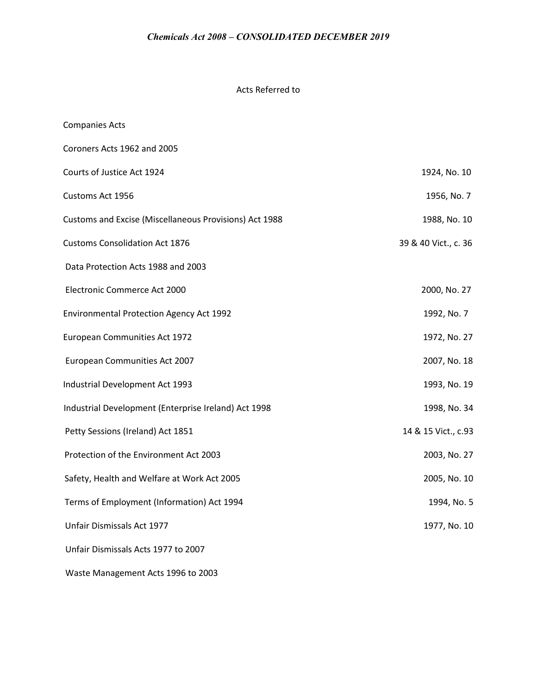# Acts Referred to

| <b>Companies Acts</b>                                  |                      |
|--------------------------------------------------------|----------------------|
| Coroners Acts 1962 and 2005                            |                      |
| Courts of Justice Act 1924                             | 1924, No. 10         |
| Customs Act 1956                                       | 1956, No. 7          |
| Customs and Excise (Miscellaneous Provisions) Act 1988 | 1988, No. 10         |
| <b>Customs Consolidation Act 1876</b>                  | 39 & 40 Vict., c. 36 |
| Data Protection Acts 1988 and 2003                     |                      |
| Electronic Commerce Act 2000                           | 2000, No. 27         |
| <b>Environmental Protection Agency Act 1992</b>        | 1992, No. 7          |
| European Communities Act 1972                          | 1972, No. 27         |
| European Communities Act 2007                          | 2007, No. 18         |
| Industrial Development Act 1993                        | 1993, No. 19         |
| Industrial Development (Enterprise Ireland) Act 1998   | 1998, No. 34         |
| Petty Sessions (Ireland) Act 1851                      | 14 & 15 Vict., c.93  |
| Protection of the Environment Act 2003                 | 2003, No. 27         |
| Safety, Health and Welfare at Work Act 2005            | 2005, No. 10         |
| Terms of Employment (Information) Act 1994             | 1994, No. 5          |
| Unfair Dismissals Act 1977                             | 1977, No. 10         |
| Unfair Dismissals Acts 1977 to 2007                    |                      |
|                                                        |                      |

Waste Management Acts 1996 to 2003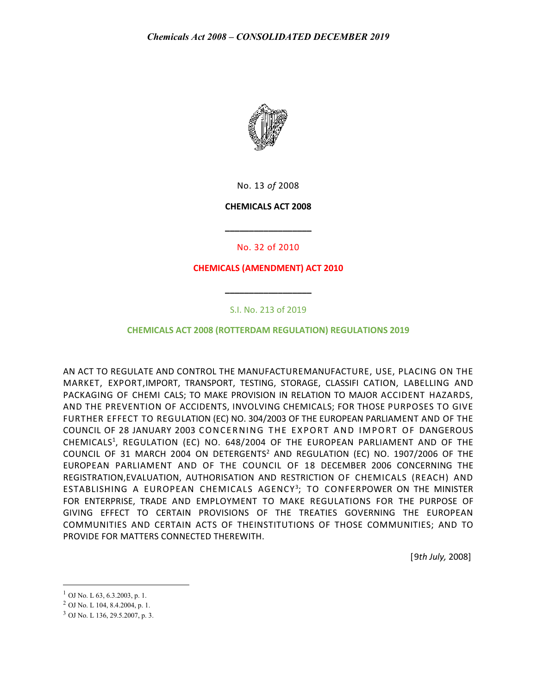

No. 13 *of* 2008

### **CHEMICALS ACT 2008**

No. 32 of 2010

**\_\_\_\_\_\_\_\_\_\_\_\_\_\_\_\_\_\_**

# **CHEMICALS (AMENDMENT) ACT 2010**

# S.I. No. 213 of 2019

**\_\_\_\_\_\_\_\_\_\_\_\_\_\_\_\_\_\_**

### **CHEMICALS ACT 2008 (ROTTERDAM REGULATION) REGULATIONS 2019**

AN ACT TO REGULATE AND CONTROL THE MANUFACTUREMANUFACTURE, USE, PLACING ON THE MARKET, EXPORT,IMPORT, TRANSPORT, TESTING, STORAGE, CLASSIFI CATION, LABELLING AND PACKAGING OF CHEMI CALS; TO MAKE PROVISION IN RELATION TO MAJOR ACCIDENT HAZARDS, AND THE PREVENTION OF ACCIDENTS, INVOLVING CHEMICALS; FOR THOSE PURPOSES TO GIVE FURTHER EFFECT TO REGULATION (EC) NO. 304/2003 OF THE EUROPEAN PARLIAMENT AND OF THE COUNCIL OF 28 JANUARY 2003 CONCERNING THE EXPORT AND IMPORT OF DANGEROUS CHEMICALS<sup>1</sup>, REGULATION (EC) NO. 648/2004 OF THE EUROPEAN PARLIAMENT AND OF THE COUNCIL OF 31 MARCH 2004 ON DETERGENTS<sup>2</sup> AND REGULATION (EC) NO. 1907/2006 OF THE EUROPEAN PARLIAMENT AND OF THE COUNCIL OF 18 DECEMBER 2006 CONCERNING THE REGISTRATION,EVALUATION, AUTHORISATION AND RESTRICTION OF CHEMICALS (REACH) AND ESTABLISHING A EUROPEAN CHEMICALS AGENCY<sup>3</sup>; TO CONFERPOWER ON THE MINISTER FOR ENTERPRISE, TRADE AND EMPLOYMENT TO MAKE REGULATIONS FOR THE PURPOSE OF GIVING EFFECT TO CERTAIN PROVISIONS OF THE TREATIES GOVERNING THE EUROPEAN COMMUNITIES AND CERTAIN ACTS OF THEINSTITUTIONS OF THOSE COMMUNITIES; AND TO PROVIDE FOR MATTERS CONNECTED THEREWITH.

[9*th July,* 2008]

 $1$  OJ No. L 63, 6.3.2003, p. 1.

<sup>2</sup> OJ No. L 104, 8.4.2004, p. 1.

<sup>3</sup> OJ No. L 136, 29.5.2007, p. 3.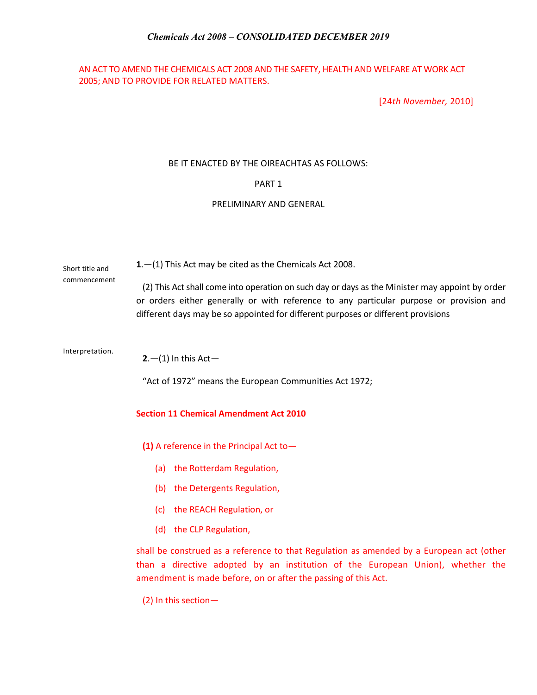# AN ACT TO AMEND THE CHEMICALS ACT 2008 AND THE SAFETY, HEALTH AND WELFARE AT WORK ACT 2005; AND TO PROVIDE FOR RELATED MATTERS.

[24*th November,* 2010]

# BE IT ENACTED BY THE OIREACHTAS AS FOLLOWS:

# PART 1

### PRELIMINARY AND GENERAL

Short title and **1**.—(1) This Act may be cited as the Chemicals Act 2008.

> (2) This Act shall come into operation on such day or days as the Minister may appoint by order or orders either generally or with reference to any particular purpose or provision and different days may be so appointed for different purposes or different provisions

Interpretation.

commencement

**2**.—(1) In this Act—

"Act of 1972" means the European Communities Act 1972;

### **Section 11 Chemical Amendment Act 2010**

**(1)** A reference in the Principal Act to—

- (a) the Rotterdam Regulation,
- (b) the Detergents Regulation,
- (c) the REACH Regulation, or
- (d) the CLP Regulation,

shall be construed as a reference to that Regulation as amended by a European act (other than a directive adopted by an institution of the European Union), whether the amendment is made before, on or after the passing of this Act.

(2) In this section—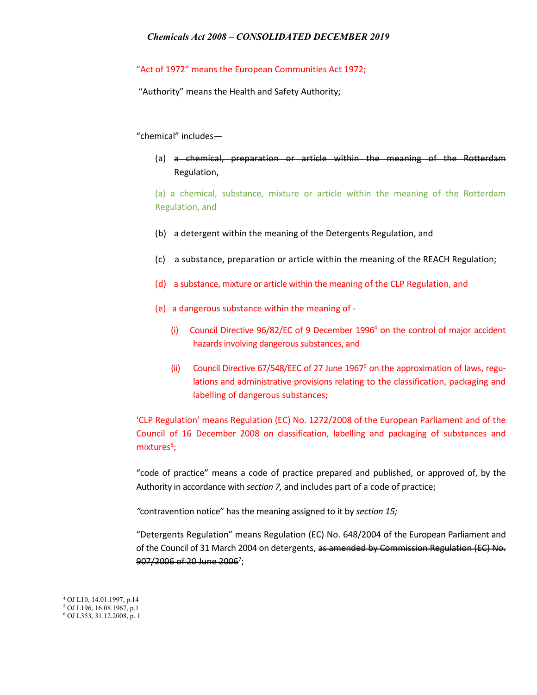# "Act of 1972" means the European Communities Act 1972;

"Authority" means the Health and Safety Authority;

### "chemical" includes—

(a) a chemical, preparation or article within the meaning of the Rotterdam Regulation,

(a) a chemical, substance, mixture or article within the meaning of the Rotterdam Regulation, and

- (b) a detergent within the meaning of the Detergents Regulation, and
- (c) a substance, preparation or article within the meaning of the REACH Regulation;
- (d) a substance, mixture or article within the meaning of the CLP Regulation, and
- (e) a dangerous substance within the meaning of
	- (i) Council Directive  $96/82/EC$  of 9 December 1996<sup>4</sup> on the control of major accident hazards involving dangerous substances, and
	- (ii) Council Directive  $67/548/EEC$  of 27 June 1967<sup>5</sup> on the approximation of laws, regulations and administrative provisions relating to the classification, packaging and labelling of dangerous substances;

'CLP Regulation' means Regulation (EC) No. 1272/2008 of the European Parliament and of the Council of 16 December 2008 on classification, labelling and packaging of substances and mixtures<sup>6</sup>;

"code of practice" means a code of practice prepared and published, or approved of, by the Authority in accordance with *section 7,* and includes part of a code of practice;

*"*contravention notice" has the meaning assigned to it by *section 15;*

"Detergents Regulation" means Regulation (EC) No. 648/2004 of the European Parliament and of the Council of 31 March 2004 on detergents, as amended by Commission Regulation (EC) No. 907/2006 of 20 June 2006<sup>2</sup>;

l <sup>4</sup> OJ L10, 14.01.1997, p.14

<sup>5</sup> OJ L196, 16.08.1967, p.1

<sup>6</sup> OJ L353, 31.12.2008, p. 1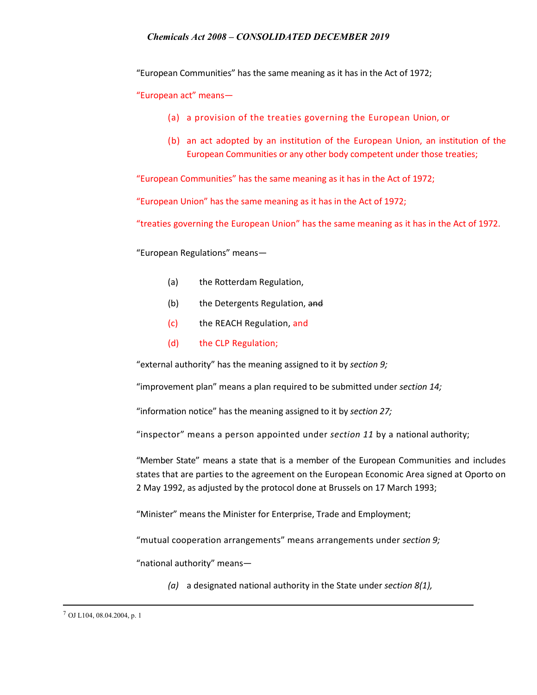"European Communities" has the same meaning as it has in the Act of 1972;

"European act" means—

- (a) a provision of the treaties governing the European Union, or
- (b) an act adopted by an institution of the European Union, an institution of the European Communities or any other body competent under those treaties;

"European Communities" has the same meaning as it has in the Act of 1972;

"European Union" has the same meaning as it has in the Act of 1972;

"treaties governing the European Union" has the same meaning as it has in the Act of 1972.

"European Regulations" means—

- (a) the Rotterdam Regulation,
- (b) the Detergents Regulation, and
- (c) the REACH Regulation, and
- (d) the CLP Regulation;

"external authority" has the meaning assigned to it by *section 9;*

"improvement plan" means a plan required to be submitted under *section 14;*

"information notice" has the meaning assigned to it by *section 27;*

"inspector" means a person appointed under *section 11* by a national authority;

"Member State" means a state that is a member of the European Communities and includes states that are parties to the agreement on the European Economic Area signed at Oporto on 2 May 1992, as adjusted by the protocol done at Brussels on 17 March 1993;

"Minister" means the Minister for Enterprise, Trade and Employment;

"mutual cooperation arrangements" means arrangements under *section 9;*

"national authority" means—

*(a)* a designated national authority in the State under *section 8(1),*

<sup>7</sup> OJ L104, 08.04.2004, p. 1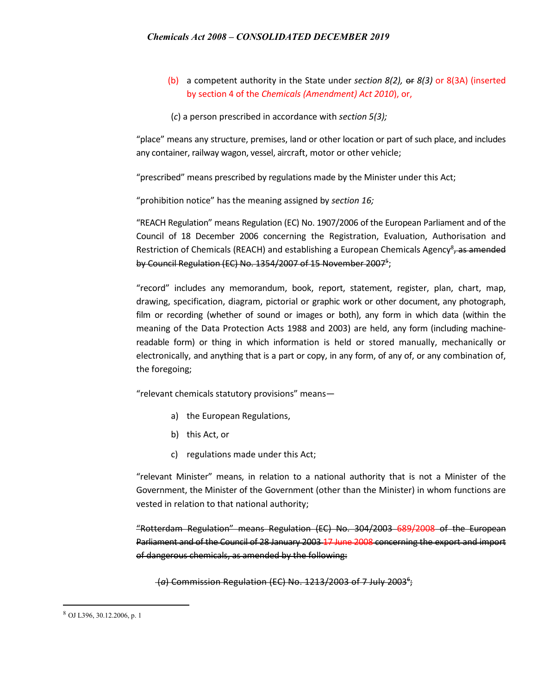- (b) a competent authority in the State under *section 8(2),* or *8(3)* or 8(3A) (inserted by section 4 of the *Chemicals (Amendment) Act 2010*), or,
- (*c*) a person prescribed in accordance with *section 5(3);*

"place" means any structure, premises, land or other location or part of such place, and includes any container, railway wagon, vessel, aircraft, motor or other vehicle;

"prescribed" means prescribed by regulations made by the Minister under this Act;

"prohibition notice" has the meaning assigned by *section 16;*

"REACH Regulation" means Regulation (EC) No. 1907/2006 of the European Parliament and of the Council of 18 December 2006 concerning the Registration, Evaluation, Authorisation and Restriction of Chemicals (REACH) and establishing a European Chemicals Agency<sup>8</sup>, as amended by Council Regulation (EC) No. 1354/2007 of 15 November 2007<sup>5</sup>;

"record" includes any memorandum, book, report, statement, register, plan, chart, map, drawing, specification, diagram, pictorial or graphic work or other document, any photograph, film or recording (whether of sound or images or both), any form in which data (within the meaning of the Data Protection Acts 1988 and 2003) are held, any form (including machinereadable form) or thing in which information is held or stored manually, mechanically or electronically, and anything that is a part or copy, in any form, of any of, or any combination of, the foregoing;

"relevant chemicals statutory provisions" means—

- a) the European Regulations,
- b) this Act, or
- c) regulations made under this Act;

"relevant Minister" means, in relation to a national authority that is not a Minister of the Government, the Minister of the Government (other than the Minister) in whom functions are vested in relation to that national authority;

"Rotterdam Regulation" means Regulation (EC) No. 304/2003 689/2008 of the European Parliament and of the Council of 28 January 2003 17 June 2008 concerning the export and import of dangerous chemicals, as amended by the following:

(*a*) Commission Regulation (EC) No. 1213/2003 of 7 July 20036 ;

<sup>8</sup> OJ L396, 30.12.2006, p. 1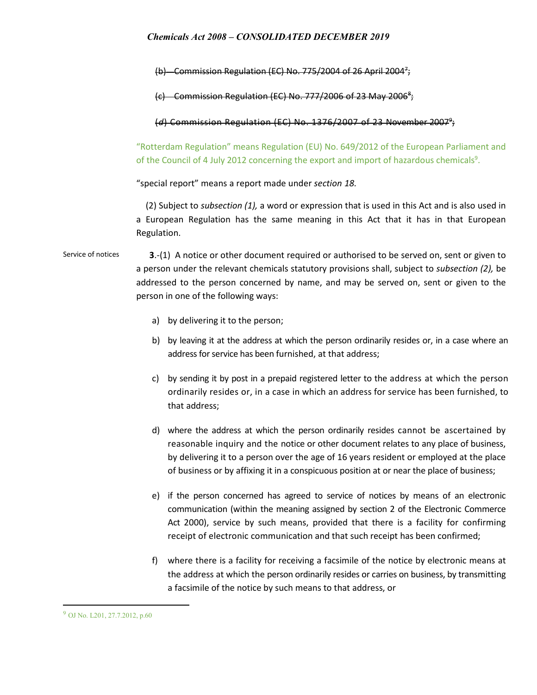(b) Commission Regulation (EC) No. 775/2004 of 26 April 2004<sup>7</sup>;

(c) Commission Regulation (EC) No. 777/2006 of 23 May 2006<sup>8</sup>;

(*d*) Commission Regulation (EC) No. 1376/2007 of 23 November 20079 ;

"Rotterdam Regulation" means Regulation (EU) No. 649/2012 of the European Parliament and of the Council of 4 July 2012 concerning the export and import of hazardous chemicals<sup>9</sup>.

"special report" means a report made under *section 18.*

(2) Subject to *subsection (1),* a word or expression that is used in this Act and is also used in a European Regulation has the same meaning in this Act that it has in that European Regulation.

Service of notices **3**.-(1) A notice or other document required or authorised to be served on, sent or given to a person under the relevant chemicals statutory provisions shall, subject to *subsection (2),* be addressed to the person concerned by name, and may be served on, sent or given to the person in one of the following ways:

- a) by delivering it to the person;
- b) by leaving it at the address at which the person ordinarily resides or, in a case where an address for service has been furnished, at that address;
- c) by sending it by post in a prepaid registered letter to the address at which the person ordinarily resides or, in a case in which an address for service has been furnished, to that address;
- d) where the address at which the person ordinarily resides cannot be ascertained by reasonable inquiry and the notice or other document relates to any place of business, by delivering it to a person over the age of 16 years resident or employed at the place of business or by affixing it in a conspicuous position at or near the place of business;
- e) if the person concerned has agreed to service of notices by means of an electronic communication (within the meaning assigned by section 2 of the Electronic Commerce Act 2000), service by such means, provided that there is a facility for confirming receipt of electronic communication and that such receipt has been confirmed;
- f) where there is a facility for receiving a facsimile of the notice by electronic means at the address at which the person ordinarily resides or carries on business, by transmitting a facsimile of the notice by such means to that address, or

<sup>9</sup> OJ No. L201, 27.7.2012, p.60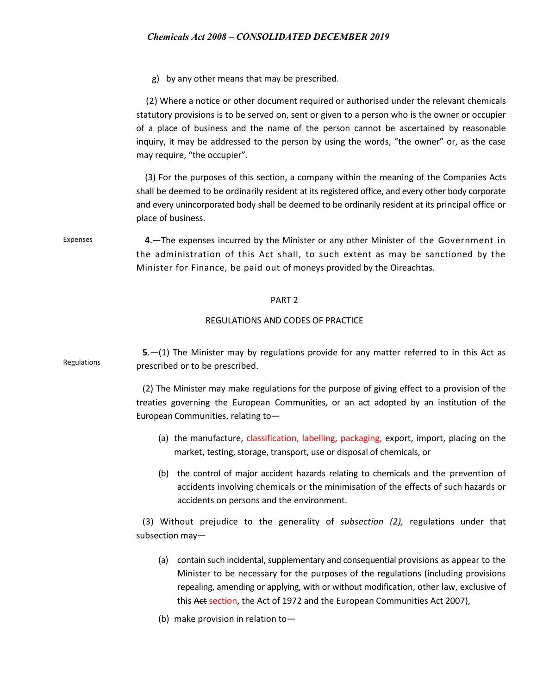g) by any other means that may be prescribed.

 (2) Where a notice or other document required or authorised under the relevant chemicals statutory provisions is to be served on, sent or given to a person who is the owner or occupier of a place of business and the name of the person cannot be ascertained by reasonable inquiry, it may be addressed to the person by using the words, "the owner" or, as the case may require, "the occupier".

 (3) For the purposes of this section, a company within the meaning of the Companies Acts shall be deemed to be ordinarily resident at its registered office, and every other body corporate and every unincorporated body shall be deemed to be ordinarily resident at its principal office or place of business.

Expenses **4**.—The expenses incurred by the Minister or any other Minister of the Government in the administration of this Act shall, to such extent as may be sanctioned by the Minister for Finance, be paid out of moneys provided by the Oireachtas.

### PART 2

### REGULATIONS AND CODES OF PRACTICE

Regulations **5**.—(1) The Minister may by regulations provide for any matter referred to in this Act as prescribed or to be prescribed.

> (2) The Minister may make regulations for the purpose of giving effect to a provision of the treaties governing the European Communities, or an act adopted by an institution of the European Communities, relating to—

- (a) the manufacture, classification, labelling, packaging, export, import, placing on the market, testing, storage, transport, use or disposal of chemicals, or
- (b) the control of major accident hazards relating to chemicals and the prevention of accidents involving chemicals or the minimisation of the effects of such hazards or accidents on persons and the environment.

(3) Without prejudice to the generality of *subsection (2),* regulations under that subsection may—

- (a) contain such incidental, supplementary and consequential provisions as appear to the Minister to be necessary for the purposes of the regulations (including provisions repealing, amending or applying, with or without modification, other law, exclusive of this Act section, the Act of 1972 and the European Communities Act 2007),
- (b) make provision in relation to—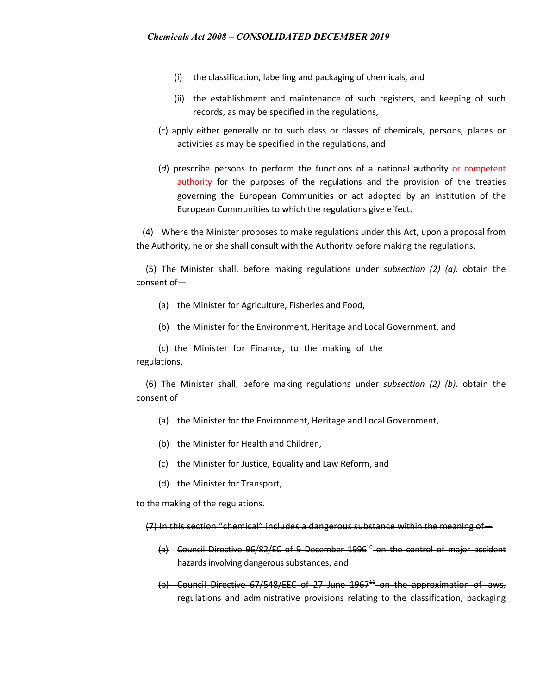(i) the classification, labelling and packaging of chemicals, and

- (ii) the establishment and maintenance of such registers, and keeping of such records, as may be specified in the regulations,
- (*c*) apply either generally or to such class or classes of chemicals, persons, places or activities as may be specified in the regulations, and
- (*d*) prescribe persons to perform the functions of a national authority or competent authority for the purposes of the regulations and the provision of the treaties governing the European Communities or act adopted by an institution of the European Communities to which the regulations give effect.

(4) Where the Minister proposes to make regulations under this Act, upon a proposal from the Authority, he or she shall consult with the Authority before making the regulations.

(5) The Minister shall, before making regulations under *subsection (2) (a),* obtain the consent of—

- (a) the Minister for Agriculture, Fisheries and Food,
- (b) the Minister for the Environment, Heritage and Local Government, and

(*c*) the Minister for Finance, to the making of the regulations.

(6) The Minister shall, before making regulations under *subsection (2) (b),* obtain the consent of—

- (a) the Minister for the Environment, Heritage and Local Government,
- (b) the Minister for Health and Children,
- (c) the Minister for Justice, Equality and Law Reform, and
- (d) the Minister for Transport,

to the making of the regulations.

(7) In this section "chemical" includes a dangerous substance within the meaning of—

- $(a)$  Council Directive 96/82/EC of 9 December 1996<sup>40</sup> on the control of major accident hazards involving dangerous substances, and
- (b) Council Directive  $67/548$ /EEC of 27 June  $1967<sup>44</sup>$  on the approximation of laws, regulations and administrative provisions relating to the classification, packaging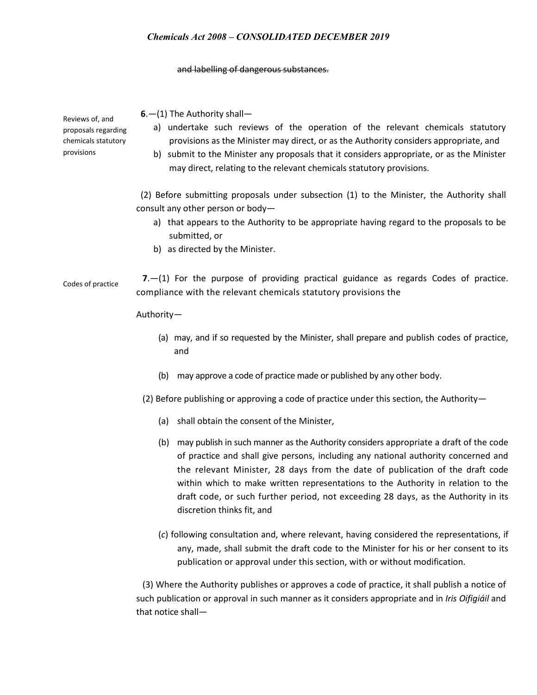#### and labelling of dangerous substances.

| Reviews of, and<br>proposals regarding<br>chemicals statutory<br>provisions | $6 - (1)$ The Authority shall-<br>a) undertake such reviews of the operation of the relevant chemicals statutory<br>provisions as the Minister may direct, or as the Authority considers appropriate, and<br>b) submit to the Minister any proposals that it considers appropriate, or as the Minister<br>may direct, relating to the relevant chemicals statutory provisions. |
|-----------------------------------------------------------------------------|--------------------------------------------------------------------------------------------------------------------------------------------------------------------------------------------------------------------------------------------------------------------------------------------------------------------------------------------------------------------------------|
|                                                                             | (2) Before submitting proposals under subsection (1) to the Minister, the Authority shall<br>consult any other person or body-<br>a) that appears to the Authority to be appropriate having regard to the proposals to be<br>submitted, or<br>b) as directed by the Minister.                                                                                                  |
| Codes of practice                                                           | $7-(1)$ For the purpose of providing practical guidance as regards Codes of practice.<br>compliance with the relevant chemicals statutory provisions the                                                                                                                                                                                                                       |
|                                                                             | Authority-                                                                                                                                                                                                                                                                                                                                                                     |
|                                                                             | (a) may, and if so requested by the Minister, shall prepare and publish codes of practice,<br>and                                                                                                                                                                                                                                                                              |
|                                                                             | may approve a code of practice made or published by any other body.<br>(b)                                                                                                                                                                                                                                                                                                     |
|                                                                             | (2) Before publishing or approving a code of practice under this section, the Authority-                                                                                                                                                                                                                                                                                       |
|                                                                             | (a) shall obtain the consent of the Minister.                                                                                                                                                                                                                                                                                                                                  |

- (b) may publish in such manner as the Authority considers appropriate a draft of the code of practice and shall give persons, including any national authority concerned and the relevant Minister, 28 days from the date of publication of the draft code within which to make written representations to the Authority in relation to the draft code, or such further period, not exceeding 28 days, as the Authority in its discretion thinks fit, and
- (*c*) following consultation and, where relevant, having considered the representations, if any, made, shall submit the draft code to the Minister for his or her consent to its publication or approval under this section, with or without modification.

(3) Where the Authority publishes or approves a code of practice, it shall publish a notice of such publication or approval in such manner as it considers appropriate and in *Iris Oifigiáil* and that notice shall—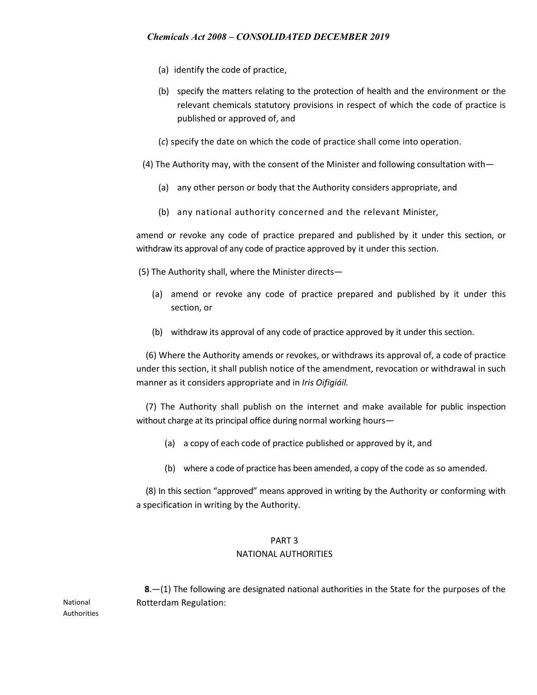- (a) identify the code of practice,
- (b) specify the matters relating to the protection of health and the environment or the relevant chemicals statutory provisions in respect of which the code of practice is published or approved of, and
- (*c*) specify the date on which the code of practice shall come into operation.
- (4) The Authority may, with the consent of the Minister and following consultation with—
	- (a) any other person or body that the Authority considers appropriate, and
	- (b) any national authority concerned and the relevant Minister,

amend or revoke any code of practice prepared and published by it under this section, or withdraw its approval of any code of practice approved by it under this section.

(5) The Authority shall, where the Minister directs—

- (a) amend or revoke any code of practice prepared and published by it under this section, or
- (b) withdraw its approval of any code of practice approved by it under this section.

(6) Where the Authority amends or revokes, or withdraws its approval of, a code of practice under this section, it shall publish notice of the amendment, revocation or withdrawal in such manner as it considers appropriate and in *Iris Oifigiáil.*

(7) The Authority shall publish on the internet and make available for public inspection without charge at its principal office during normal working hours—

- (a) a copy of each code of practice published or approved by it, and
- (b) where a code of practice has been amended, a copy of the code as so amended.

(8) In this section "approved" means approved in writing by the Authority or conforming with a specification in writing by the Authority.

# PART 3

### NATIONAL AUTHORITIES

 **8**.—(1) The following are designated national authorities in the State for the purposes of the Rotterdam Regulation:

National Authorities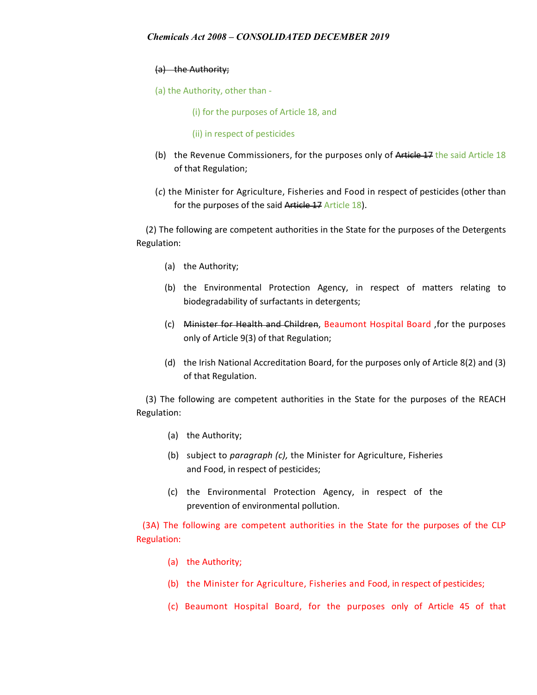# (a) the Authority;

- (a) the Authority, other than
	- (i) for the purposes of Article 18, and
	- (ii) in respect of pesticides
- (b) the Revenue Commissioners, for the purposes only of Article 17 the said Article 18 of that Regulation;
- (*c*) the Minister for Agriculture, Fisheries and Food in respect of pesticides (other than for the purposes of the said Article 17 Article 18).

(2) The following are competent authorities in the State for the purposes of the Detergents Regulation:

- (a) the Authority;
- (b) the Environmental Protection Agency, in respect of matters relating to biodegradability of surfactants in detergents;
- (c) Minister for Health and Children, Beaumont Hospital Board ,for the purposes only of Article 9(3) of that Regulation;
- (d) the Irish National Accreditation Board, for the purposes only of Article 8(2) and (3) of that Regulation.

(3) The following are competent authorities in the State for the purposes of the REACH Regulation:

- (a) the Authority;
- (b) subject to *paragraph (c),* the Minister for Agriculture, Fisheries and Food, in respect of pesticides;
- (c) the Environmental Protection Agency, in respect of the prevention of environmental pollution.

(3A) The following are competent authorities in the State for the purposes of the CLP Regulation:

- (a) the Authority;
- (b) the Minister for Agriculture, Fisheries and Food, in respect of pesticides;
- (c) Beaumont Hospital Board, for the purposes only of Article 45 of that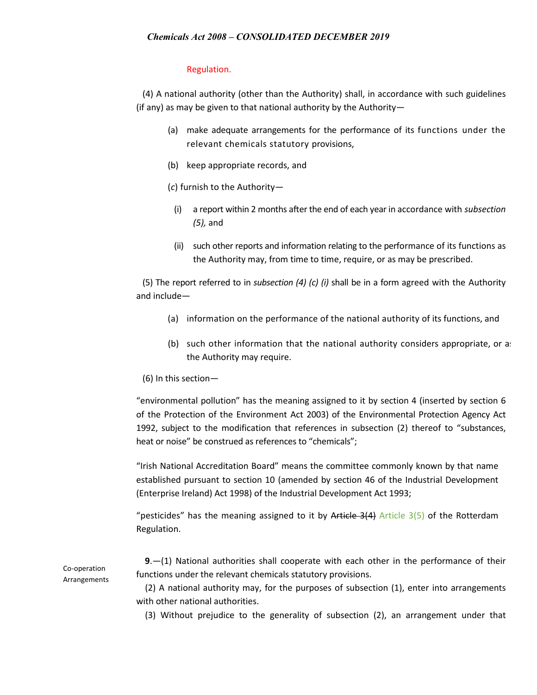# Regulation.

(4) A national authority (other than the Authority) shall, in accordance with such guidelines (if any) as may be given to that national authority by the Authority—

- (a) make adequate arrangements for the performance of its functions under the relevant chemicals statutory provisions,
- (b) keep appropriate records, and
- (*c*) furnish to the Authority—
	- (i) a report within 2 months after the end of each year in accordance with *subsection (5),* and
	- (ii) such other reports and information relating to the performance of its functions as the Authority may, from time to time, require, or as may be prescribed.

(5) The report referred to in *subsection (4) (c) (i)* shall be in a form agreed with the Authority and include—

- (a) information on the performance of the national authority of its functions, and
- (b) such other information that the national authority considers appropriate, or as the Authority may require.
- (6) In this section—

"environmental pollution" has the meaning assigned to it by section 4 (inserted by section 6 of the Protection of the Environment Act 2003) of the Environmental Protection Agency Act 1992, subject to the modification that references in subsection (2) thereof to "substances, heat or noise" be construed as references to "chemicals";

"Irish National Accreditation Board" means the committee commonly known by that name established pursuant to section 10 (amended by section 46 of the Industrial Development (Enterprise Ireland) Act 1998) of the Industrial Development Act 1993;

"pesticides" has the meaning assigned to it by Article  $3(4)$  Article  $3(5)$  of the Rotterdam Regulation.

 **9**.—(1) National authorities shall cooperate with each other in the performance of their functions under the relevant chemicals statutory provisions.

 (2) A national authority may, for the purposes of subsection (1), enter into arrangements with other national authorities.

(3) Without prejudice to the generality of subsection (2), an arrangement under that

Co-operation Arrangements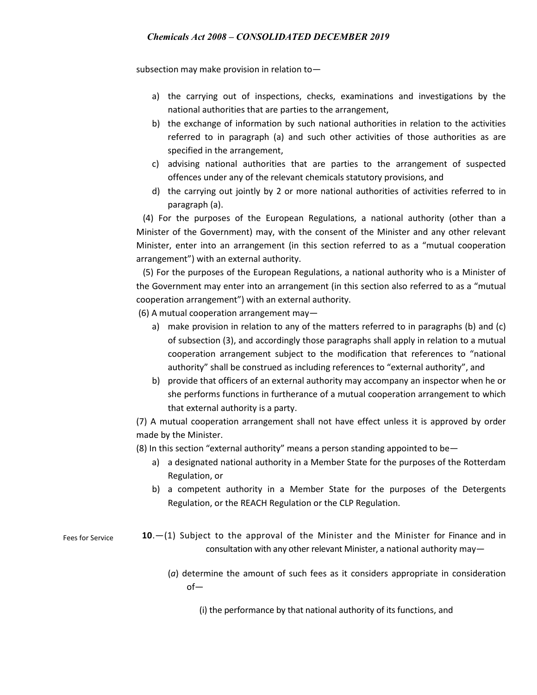subsection may make provision in relation to—

- a) the carrying out of inspections, checks, examinations and investigations by the national authorities that are parties to the arrangement,
- b) the exchange of information by such national authorities in relation to the activities referred to in paragraph (a) and such other activities of those authorities as are specified in the arrangement,
- c) advising national authorities that are parties to the arrangement of suspected offences under any of the relevant chemicals statutory provisions, and
- d) the carrying out jointly by 2 or more national authorities of activities referred to in paragraph (a).

 (4) For the purposes of the European Regulations, a national authority (other than a Minister of the Government) may, with the consent of the Minister and any other relevant Minister, enter into an arrangement (in this section referred to as a "mutual cooperation arrangement") with an external authority.

 (5) For the purposes of the European Regulations, a national authority who is a Minister of the Government may enter into an arrangement (in this section also referred to as a "mutual cooperation arrangement") with an external authority.

(6) A mutual cooperation arrangement may—

- a) make provision in relation to any of the matters referred to in paragraphs (b) and (c) of subsection (3), and accordingly those paragraphs shall apply in relation to a mutual cooperation arrangement subject to the modification that references to "national authority" shall be construed as including references to "external authority", and
- b) provide that officers of an external authority may accompany an inspector when he or she performs functions in furtherance of a mutual cooperation arrangement to which that external authority is a party.

(7) A mutual cooperation arrangement shall not have effect unless it is approved by order made by the Minister.

(8) In this section "external authority" means a person standing appointed to be—

- a) a designated national authority in a Member State for the purposes of the Rotterdam Regulation, or
- b) a competent authority in a Member State for the purposes of the Detergents Regulation, or the REACH Regulation or the CLP Regulation.

Fees for Service **10**.—(1) Subject to the approval of the Minister and the Minister for Finance and in consultation with any other relevant Minister, a national authority may—

> (*a*) determine the amount of such fees as it considers appropriate in consideration of—

(i) the performance by that national authority of its functions, and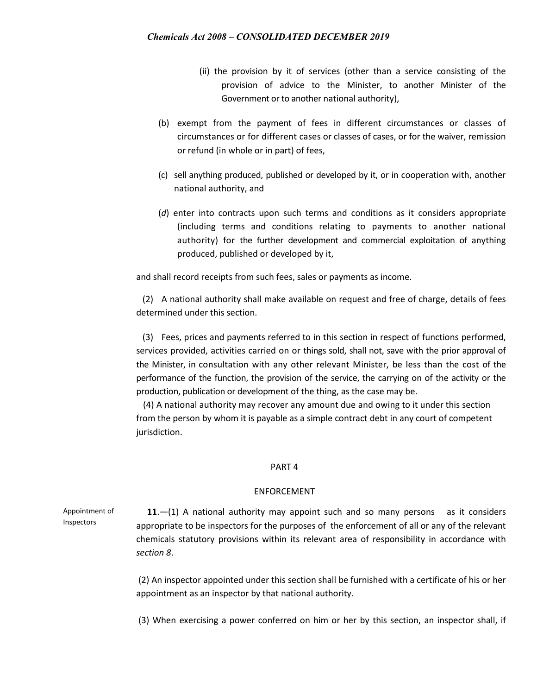- (ii) the provision by it of services (other than a service consisting of the provision of advice to the Minister, to another Minister of the Government or to another national authority),
- (b) exempt from the payment of fees in different circumstances or classes of circumstances or for different cases or classes of cases, or for the waiver, remission or refund (in whole or in part) of fees,
- (c) sell anything produced, published or developed by it, or in cooperation with, another national authority, and
- (*d*) enter into contracts upon such terms and conditions as it considers appropriate (including terms and conditions relating to payments to another national authority) for the further development and commercial exploitation of anything produced, published or developed by it,

and shall record receipts from such fees, sales or payments as income.

(2) A national authority shall make available on request and free of charge, details of fees determined under this section.

(3) Fees, prices and payments referred to in this section in respect of functions performed, services provided, activities carried on or things sold, shall not, save with the prior approval of the Minister, in consultation with any other relevant Minister, be less than the cost of the performance of the function, the provision of the service, the carrying on of the activity or the production, publication or development of the thing, as the case may be.

 (4) A national authority may recover any amount due and owing to it under this section from the person by whom it is payable as a simple contract debt in any court of competent jurisdiction.

#### PART 4

#### ENFORCEMENT

Appointment of Inspectors  **11**.—(1) A national authority may appoint such and so many persons as it considers appropriate to be inspectors for the purposes of the enforcement of all or any of the relevant chemicals statutory provisions within its relevant area of responsibility in accordance with *section 8*.

> (2) An inspector appointed under this section shall be furnished with a certificate of his or her appointment as an inspector by that national authority.

> (3) When exercising a power conferred on him or her by this section, an inspector shall, if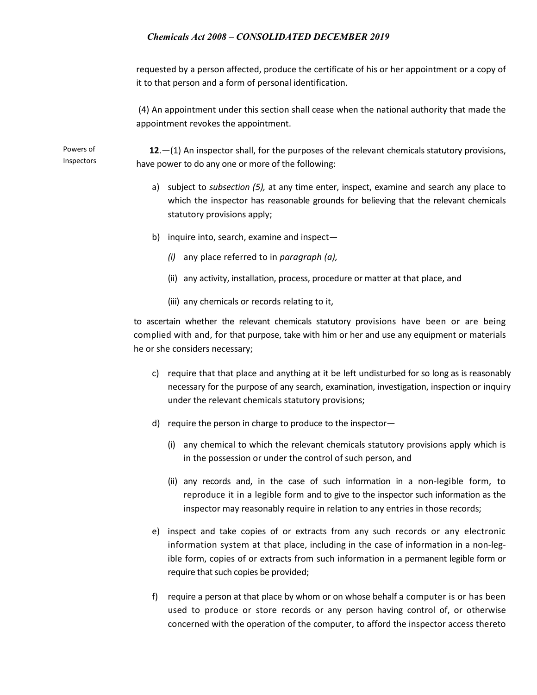requested by a person affected, produce the certificate of his or her appointment or a copy of it to that person and a form of personal identification.

(4) An appointment under this section shall cease when the national authority that made the appointment revokes the appointment.

Powers of Inspectors

 **12**.—(1) An inspector shall, for the purposes of the relevant chemicals statutory provisions, have power to do any one or more of the following:

- a) subject to *subsection (5),* at any time enter, inspect, examine and search any place to which the inspector has reasonable grounds for believing that the relevant chemicals statutory provisions apply;
- b) inquire into, search, examine and inspect—
	- *(i)* any place referred to in *paragraph (a),*
	- (ii) any activity, installation, process, procedure or matter at that place, and
	- (iii) any chemicals or records relating to it,

to ascertain whether the relevant chemicals statutory provisions have been or are being complied with and, for that purpose, take with him or her and use any equipment or materials he or she considers necessary;

- c) require that that place and anything at it be left undisturbed for so long as is reasonably necessary for the purpose of any search, examination, investigation, inspection or inquiry under the relevant chemicals statutory provisions;
- d) require the person in charge to produce to the inspector—
	- (i) any chemical to which the relevant chemicals statutory provisions apply which is in the possession or under the control of such person, and
	- (ii) any records and, in the case of such information in a non-legible form, to reproduce it in a legible form and to give to the inspector such information as the inspector may reasonably require in relation to any entries in those records;
- e) inspect and take copies of or extracts from any such records or any electronic information system at that place, including in the case of information in a non-legible form, copies of or extracts from such information in a permanent legible form or require that such copies be provided;
- f) require a person at that place by whom or on whose behalf a computer is or has been used to produce or store records or any person having control of, or otherwise concerned with the operation of the computer, to afford the inspector access thereto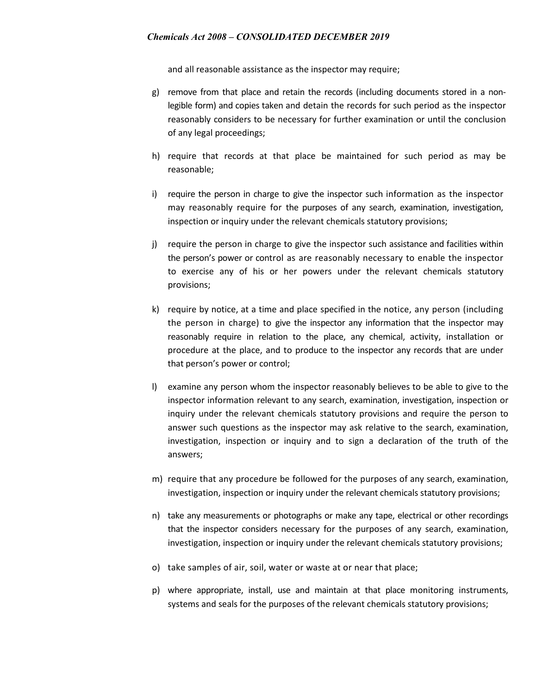and all reasonable assistance as the inspector may require;

- g) remove from that place and retain the records (including documents stored in a nonlegible form) and copies taken and detain the records for such period as the inspector reasonably considers to be necessary for further examination or until the conclusion of any legal proceedings;
- h) require that records at that place be maintained for such period as may be reasonable;
- i) require the person in charge to give the inspector such information as the inspector may reasonably require for the purposes of any search, examination, investigation, inspection or inquiry under the relevant chemicals statutory provisions;
- j) require the person in charge to give the inspector such assistance and facilities within the person's power or control as are reasonably necessary to enable the inspector to exercise any of his or her powers under the relevant chemicals statutory provisions;
- k) require by notice, at a time and place specified in the notice, any person (including the person in charge) to give the inspector any information that the inspector may reasonably require in relation to the place, any chemical, activity, installation or procedure at the place, and to produce to the inspector any records that are under that person's power or control;
- l) examine any person whom the inspector reasonably believes to be able to give to the inspector information relevant to any search, examination, investigation, inspection or inquiry under the relevant chemicals statutory provisions and require the person to answer such questions as the inspector may ask relative to the search, examination, investigation, inspection or inquiry and to sign a declaration of the truth of the answers;
- m) require that any procedure be followed for the purposes of any search, examination, investigation, inspection or inquiry under the relevant chemicals statutory provisions;
- n) take any measurements or photographs or make any tape, electrical or other recordings that the inspector considers necessary for the purposes of any search, examination, investigation, inspection or inquiry under the relevant chemicals statutory provisions;
- o) take samples of air, soil, water or waste at or near that place;
- p) where appropriate, install, use and maintain at that place monitoring instruments, systems and seals for the purposes of the relevant chemicals statutory provisions;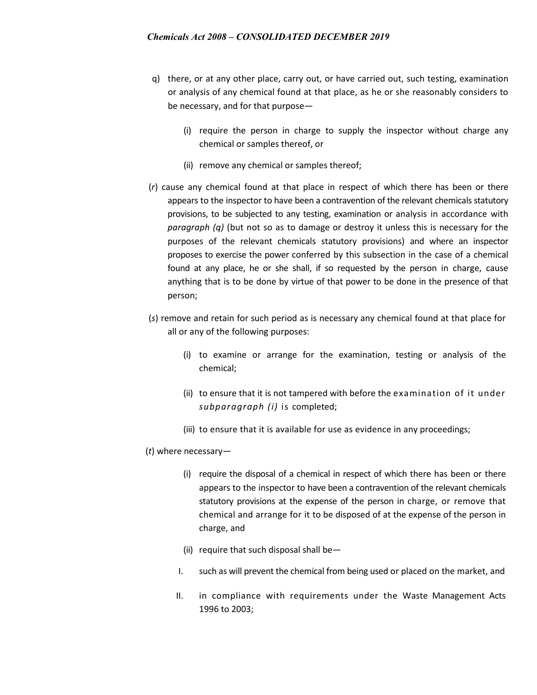- q) there, or at any other place, carry out, or have carried out, such testing, examination or analysis of any chemical found at that place, as he or she reasonably considers to be necessary, and for that purpose—
	- (i) require the person in charge to supply the inspector without charge any chemical or samples thereof, or
	- (ii) remove any chemical or samples thereof;
- (*r*) cause any chemical found at that place in respect of which there has been or there appears to the inspector to have been a contravention of the relevant chemicals statutory provisions, to be subjected to any testing, examination or analysis in accordance with *paragraph (q)* (but not so as to damage or destroy it unless this is necessary for the purposes of the relevant chemicals statutory provisions) and where an inspector proposes to exercise the power conferred by this subsection in the case of a chemical found at any place, he or she shall, if so requested by the person in charge, cause anything that is to be done by virtue of that power to be done in the presence of that person;
- (*s*) remove and retain for such period as is necessary any chemical found at that place for all or any of the following purposes:
	- (i) to examine or arrange for the examination, testing or analysis of the chemical;
	- (ii) to ensure that it is not tampered with before the examination of it under *subparagraph (i)* is completed;
	- (iii) to ensure that it is available for use as evidence in any proceedings;
- (*t*) where necessary—
	- (i) require the disposal of a chemical in respect of which there has been or there appears to the inspector to have been a contravention of the relevant chemicals statutory provisions at the expense of the person in charge, or remove that chemical and arrange for it to be disposed of at the expense of the person in charge, and
	- (ii) require that such disposal shall be—
	- I. such as will prevent the chemical from being used or placed on the market, and
	- II. in compliance with requirements under the Waste Management Acts 1996 to 2003;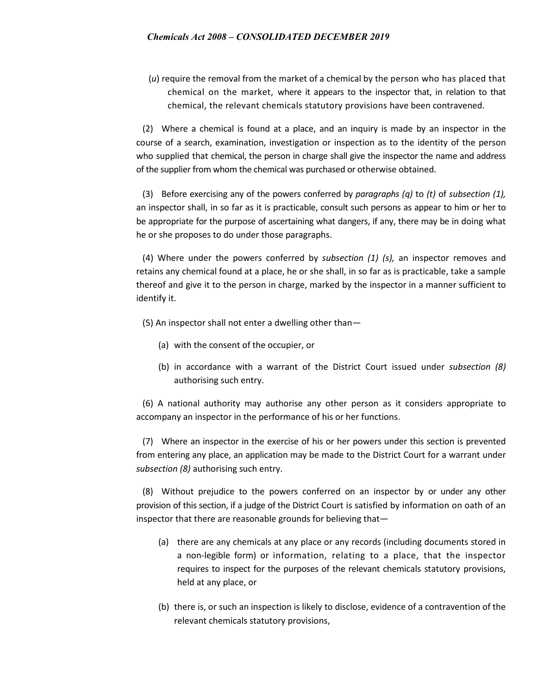(*u*) require the removal from the market of a chemical by the person who has placed that chemical on the market, where it appears to the inspector that, in relation to that chemical, the relevant chemicals statutory provisions have been contravened.

(2) Where a chemical is found at a place, and an inquiry is made by an inspector in the course of a search, examination, investigation or inspection as to the identity of the person who supplied that chemical, the person in charge shall give the inspector the name and address of the supplier from whom the chemical was purchased or otherwise obtained.

(3) Before exercising any of the powers conferred by *paragraphs (q)* to *(t)* of *subsection (1),*  an inspector shall, in so far as it is practicable, consult such persons as appear to him or her to be appropriate for the purpose of ascertaining what dangers, if any, there may be in doing what he or she proposes to do under those paragraphs.

(4) Where under the powers conferred by *subsection (1) (s),* an inspector removes and retains any chemical found at a place, he or she shall, in so far as is practicable, take a sample thereof and give it to the person in charge, marked by the inspector in a manner sufficient to identify it.

(5) An inspector shall not enter a dwelling other than—

- (a) with the consent of the occupier, or
- (b) in accordance with a warrant of the District Court issued under *subsection (8)*  authorising such entry.

(6) A national authority may authorise any other person as it considers appropriate to accompany an inspector in the performance of his or her functions.

(7) Where an inspector in the exercise of his or her powers under this section is prevented from entering any place, an application may be made to the District Court for a warrant under *subsection (8)* authorising such entry.

(8) Without prejudice to the powers conferred on an inspector by or under any other provision of this section, if a judge of the District Court is satisfied by information on oath of an inspector that there are reasonable grounds for believing that—

- (a) there are any chemicals at any place or any records (including documents stored in a non-legible form) or information, relating to a place, that the inspector requires to inspect for the purposes of the relevant chemicals statutory provisions, held at any place, or
- (b) there is, or such an inspection is likely to disclose, evidence of a contravention of the relevant chemicals statutory provisions,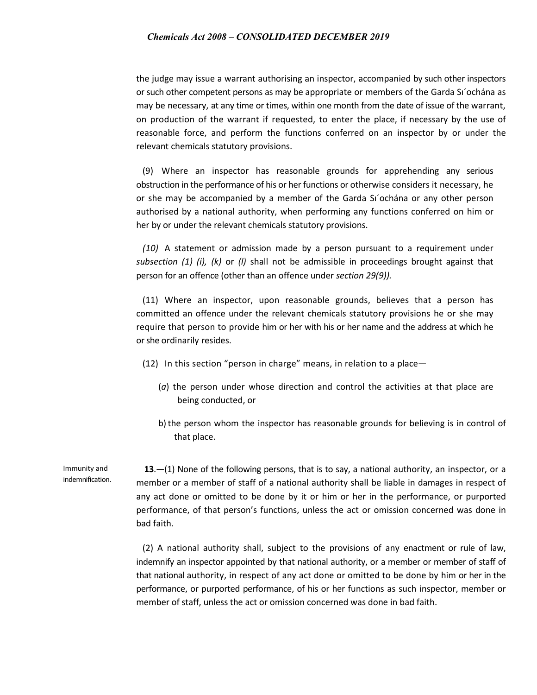the judge may issue a warrant authorising an inspector, accompanied by such other inspectors or such other competent persons as may be appropriate or members of the Garda Sı´ochána as may be necessary, at any time or times, within one month from the date of issue of the warrant, on production of the warrant if requested, to enter the place, if necessary by the use of reasonable force, and perform the functions conferred on an inspector by or under the relevant chemicals statutory provisions.

(9) Where an inspector has reasonable grounds for apprehending any serious obstruction in the performance of his or her functions or otherwise considers it necessary, he or she may be accompanied by a member of the Garda Sı´ochána or any other person authorised by a national authority, when performing any functions conferred on him or her by or under the relevant chemicals statutory provisions.

*(10)* A statement or admission made by a person pursuant to a requirement under *subsection (1) (i), (k)* or *(l)* shall not be admissible in proceedings brought against that person for an offence (other than an offence under *section 29(9)).*

(11) Where an inspector, upon reasonable grounds, believes that a person has committed an offence under the relevant chemicals statutory provisions he or she may require that person to provide him or her with his or her name and the address at which he or she ordinarily resides.

- (12) In this section "person in charge" means, in relation to a place—
	- (*a*) the person under whose direction and control the activities at that place are being conducted, or
	- b) the person whom the inspector has reasonable grounds for believing is in control of that place.

Immunity and indemnification.

 **13**.—(1) None of the following persons, that is to say, a national authority, an inspector, or a member or a member of staff of a national authority shall be liable in damages in respect of any act done or omitted to be done by it or him or her in the performance, or purported performance, of that person's functions, unless the act or omission concerned was done in bad faith.

(2) A national authority shall, subject to the provisions of any enactment or rule of law, indemnify an inspector appointed by that national authority, or a member or member of staff of that national authority, in respect of any act done or omitted to be done by him or her in the performance, or purported performance, of his or her functions as such inspector, member or member of staff, unless the act or omission concerned was done in bad faith.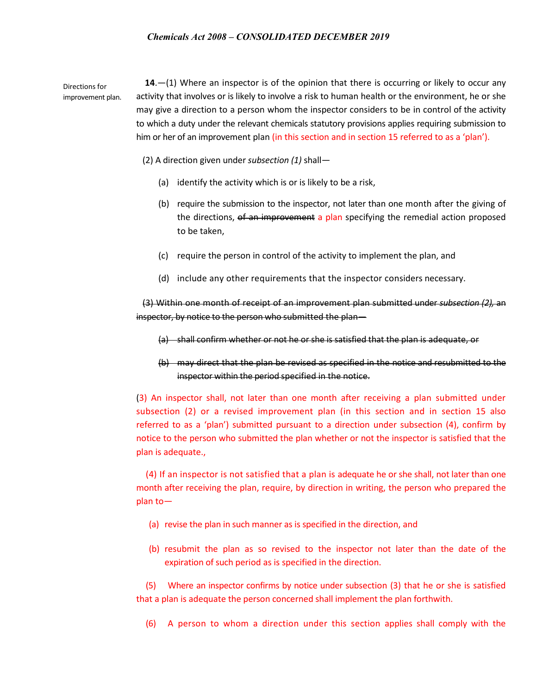Directions for improvement plan.  **14**.—(1) Where an inspector is of the opinion that there is occurring or likely to occur any activity that involves or is likely to involve a risk to human health or the environment, he or she may give a direction to a person whom the inspector considers to be in control of the activity to which a duty under the relevant chemicals statutory provisions applies requiring submission to him or her of an improvement plan (in this section and in section 15 referred to as a 'plan').

- (2) A direction given under *subsection (1)* shall—
	- (a) identify the activity which is or is likely to be a risk,
	- (b) require the submission to the inspector, not later than one month after the giving of the directions, of an improvement a plan specifying the remedial action proposed to be taken,
	- (c) require the person in control of the activity to implement the plan, and
	- (d) include any other requirements that the inspector considers necessary.

(3) Within one month of receipt of an improvement plan submitted under *subsection (2),* an inspector, by notice to the person who submitted the plan—

- (a) shall confirm whether or not he or she is satisfied that the plan is adequate, or
- (b) may direct that the plan be revised as specified in the notice and resubmitted to the inspector within the period specified in the notice.

(3) An inspector shall, not later than one month after receiving a plan submitted under subsection (2) or a revised improvement plan (in this section and in section 15 also referred to as a 'plan') submitted pursuant to a direction under subsection (4), confirm by notice to the person who submitted the plan whether or not the inspector is satisfied that the plan is adequate.,

(4) If an inspector is not satisfied that a plan is adequate he or she shall, not later than one month after receiving the plan, require, by direction in writing, the person who prepared the plan to—

- (a) revise the plan in such manner as is specified in the direction, and
- (b) resubmit the plan as so revised to the inspector not later than the date of the expiration of such period as is specified in the direction.

(5) Where an inspector confirms by notice under subsection (3) that he or she is satisfied that a plan is adequate the person concerned shall implement the plan forthwith.

(6) A person to whom a direction under this section applies shall comply with the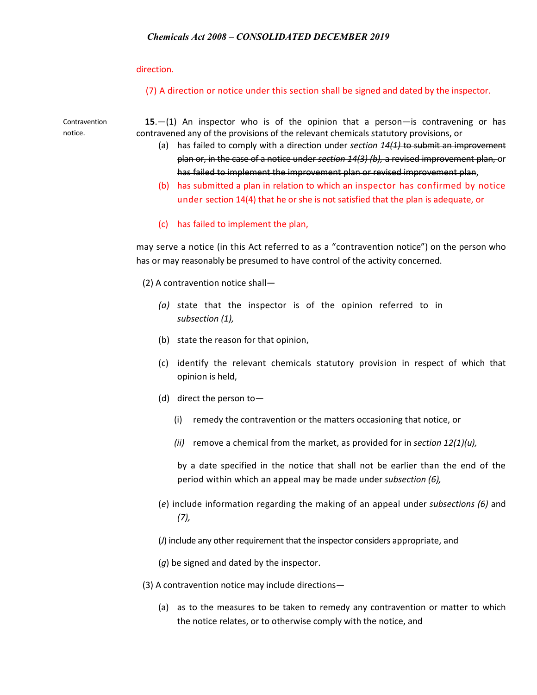direction.

(7) A direction or notice under this section shall be signed and dated by the inspector.

Contravention notice.

 **15**.—(1) An inspector who is of the opinion that a person—is contravening or has contravened any of the provisions of the relevant chemicals statutory provisions, or

- (a) has failed to comply with a direction under *section 14(1)* to submit an improvement plan or, in the case of a notice under *section 14(3) (b),* a revised improvement plan, or has failed to implement the improvement plan or revised improvement plan,
- (b) has submitted a plan in relation to which an inspector has confirmed by notice under section 14(4) that he or she is not satisfied that the plan is adequate, or
- (c) has failed to implement the plan,

may serve a notice (in this Act referred to as a "contravention notice") on the person who has or may reasonably be presumed to have control of the activity concerned.

(2) A contravention notice shall—

- *(a)* state that the inspector is of the opinion referred to in *subsection (1),*
- (b) state the reason for that opinion,
- (c) identify the relevant chemicals statutory provision in respect of which that opinion is held,
- (d) direct the person to—
	- (i) remedy the contravention or the matters occasioning that notice, or
	- *(ii)* remove a chemical from the market, as provided for in *section 12(1)(u),*

by a date specified in the notice that shall not be earlier than the end of the period within which an appeal may be made under *subsection (6),*

- (*e*) include information regarding the making of an appeal under *subsections (6)* and *(7),*
- (*J*) include any other requirement that the inspector considers appropriate, and
- (*g*) be signed and dated by the inspector.
- (3) A contravention notice may include directions—
	- (a) as to the measures to be taken to remedy any contravention or matter to which the notice relates, or to otherwise comply with the notice, and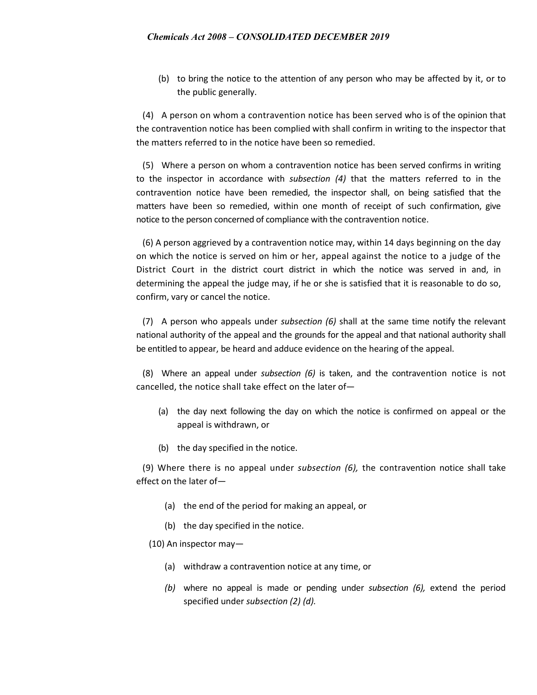(b) to bring the notice to the attention of any person who may be affected by it, or to the public generally.

(4) A person on whom a contravention notice has been served who is of the opinion that the contravention notice has been complied with shall confirm in writing to the inspector that the matters referred to in the notice have been so remedied.

(5) Where a person on whom a contravention notice has been served confirms in writing to the inspector in accordance with *subsection (4)* that the matters referred to in the contravention notice have been remedied, the inspector shall, on being satisfied that the matters have been so remedied, within one month of receipt of such confirmation, give notice to the person concerned of compliance with the contravention notice.

(6) A person aggrieved by a contravention notice may, within 14 days beginning on the day on which the notice is served on him or her, appeal against the notice to a judge of the District Court in the district court district in which the notice was served in and, in determining the appeal the judge may, if he or she is satisfied that it is reasonable to do so, confirm, vary or cancel the notice.

(7) A person who appeals under *subsection (6)* shall at the same time notify the relevant national authority of the appeal and the grounds for the appeal and that national authority shall be entitled to appear, be heard and adduce evidence on the hearing of the appeal.

(8) Where an appeal under *subsection (6)* is taken, and the contravention notice is not cancelled, the notice shall take effect on the later of—

- (a) the day next following the day on which the notice is confirmed on appeal or the appeal is withdrawn, or
- (b) the day specified in the notice.

(9) Where there is no appeal under *subsection (6),* the contravention notice shall take effect on the later of—

- (a) the end of the period for making an appeal, or
- (b) the day specified in the notice.
- (10) An inspector may—
	- (a) withdraw a contravention notice at any time, or
	- *(b)* where no appeal is made or pending under *subsection (6),* extend the period specified under *subsection (2) (d).*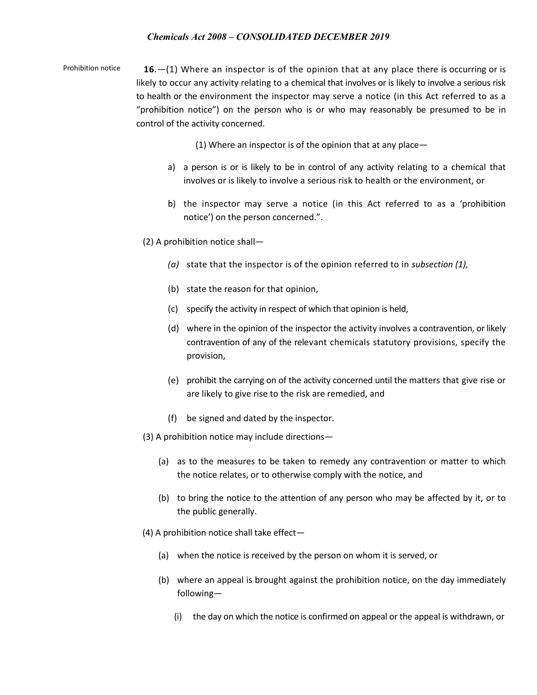Prohibition notice **16**.—(1) Where an inspector is of the opinion that at any place there is occurring or is likely to occur any activity relating to a chemical that involves or is likely to involve a serious risk to health or the environment the inspector may serve a notice (in this Act referred to as a "prohibition notice") on the person who is or who may reasonably be presumed to be in control of the activity concerned.

(1) Where an inspector is of the opinion that at any place—

- a) a person is or is likely to be in control of any activity relating to a chemical that involves or is likely to involve a serious risk to health or the environment, or
- b) the inspector may serve a notice (in this Act referred to as a 'prohibition notice') on the person concerned.".
- (2) A prohibition notice shall—
	- *(a)* state that the inspector is of the opinion referred to in *subsection (1),*
	- (b) state the reason for that opinion,
	- (c) specify the activity in respect of which that opinion is held,
	- (d) where in the opinion of the inspector the activity involves a contravention, or likely contravention of any of the relevant chemicals statutory provisions, specify the provision,
	- (e) prohibit the carrying on of the activity concerned until the matters that give rise or are likely to give rise to the risk are remedied, and
	- (f) be signed and dated by the inspector.
- (3) A prohibition notice may include directions—
	- (a) as to the measures to be taken to remedy any contravention or matter to which the notice relates, or to otherwise comply with the notice, and
	- (b) to bring the notice to the attention of any person who may be affected by it, or to the public generally.
- (4) A prohibition notice shall take effect—
	- (a) when the notice is received by the person on whom it is served, or
	- (b) where an appeal is brought against the prohibition notice, on the day immediately following—
		- (i) the day on which the notice is confirmed on appeal or the appeal is withdrawn, or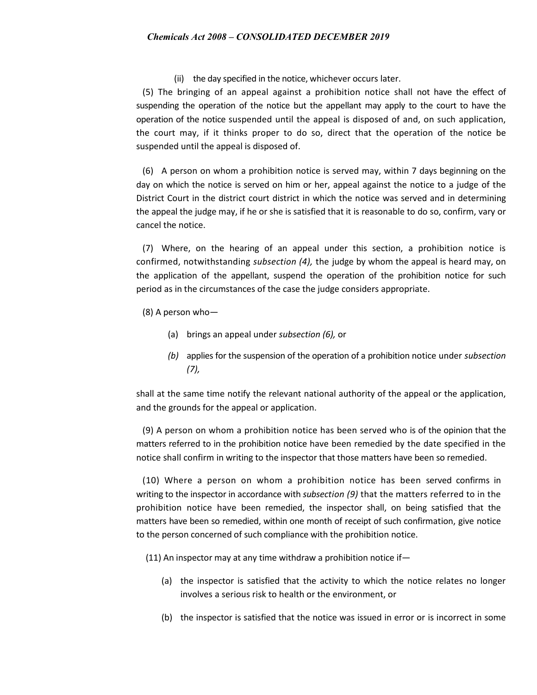(ii) the day specified in the notice, whichever occurs later.

(5) The bringing of an appeal against a prohibition notice shall not have the effect of suspending the operation of the notice but the appellant may apply to the court to have the operation of the notice suspended until the appeal is disposed of and, on such application, the court may, if it thinks proper to do so, direct that the operation of the notice be suspended until the appeal is disposed of.

(6) A person on whom a prohibition notice is served may, within 7 days beginning on the day on which the notice is served on him or her, appeal against the notice to a judge of the District Court in the district court district in which the notice was served and in determining the appeal the judge may, if he or she is satisfied that it is reasonable to do so, confirm, vary or cancel the notice.

(7) Where, on the hearing of an appeal under this section, a prohibition notice is confirmed, notwithstanding *subsection (4),* the judge by whom the appeal is heard may, on the application of the appellant, suspend the operation of the prohibition notice for such period as in the circumstances of the case the judge considers appropriate.

- (8) A person who—
	- (a) brings an appeal under *subsection (6),* or
	- *(b)* applies for the suspension of the operation of a prohibition notice under *subsection (7),*

shall at the same time notify the relevant national authority of the appeal or the application, and the grounds for the appeal or application.

(9) A person on whom a prohibition notice has been served who is of the opinion that the matters referred to in the prohibition notice have been remedied by the date specified in the notice shall confirm in writing to the inspector that those matters have been so remedied.

(10) Where a person on whom a prohibition notice has been served confirms in writing to the inspector in accordance with *subsection (9)* that the matters referred to in the prohibition notice have been remedied, the inspector shall, on being satisfied that the matters have been so remedied, within one month of receipt of such confirmation, give notice to the person concerned of such compliance with the prohibition notice.

(11) An inspector may at any time withdraw a prohibition notice if—

- (a) the inspector is satisfied that the activity to which the notice relates no longer involves a serious risk to health or the environment, or
- (b) the inspector is satisfied that the notice was issued in error or is incorrect in some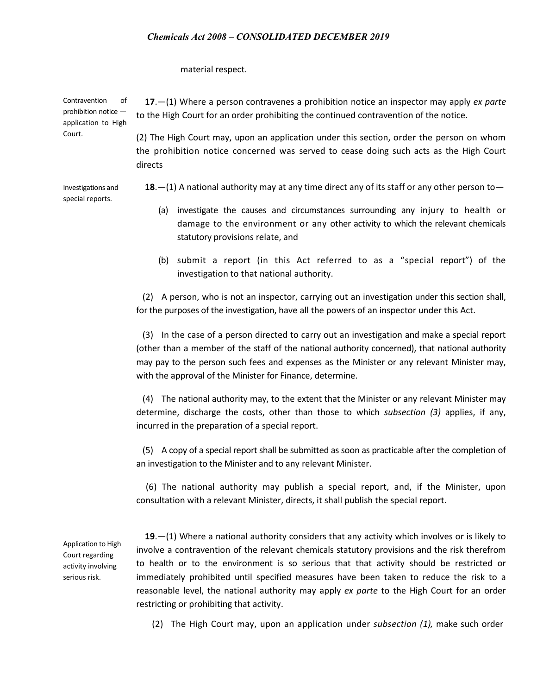material respect.

Contravention of prohibition notice application to High  **17**.—(1) Where a person contravenes a prohibition notice an inspector may apply *ex parte*  to the High Court for an order prohibiting the continued contravention of the notice.

> (2) The High Court may, upon an application under this section, order the person on whom the prohibition notice concerned was served to cease doing such acts as the High Court directs

Investigations and special reports. **18**.—(1) A national authority may at any time direct any of its staff or any other person to—

- (a) investigate the causes and circumstances surrounding any injury to health or damage to the environment or any other activity to which the relevant chemicals statutory provisions relate, and
- (b) submit a report (in this Act referred to as a "special report") of the investigation to that national authority.

(2) A person, who is not an inspector, carrying out an investigation under this section shall, for the purposes of the investigation, have all the powers of an inspector under this Act.

(3) In the case of a person directed to carry out an investigation and make a special report (other than a member of the staff of the national authority concerned), that national authority may pay to the person such fees and expenses as the Minister or any relevant Minister may, with the approval of the Minister for Finance, determine.

(4) The national authority may, to the extent that the Minister or any relevant Minister may determine, discharge the costs, other than those to which *subsection (3)* applies, if any, incurred in the preparation of a special report.

(5) A copy of a special report shall be submitted as soon as practicable after the completion of an investigation to the Minister and to any relevant Minister.

(6) The national authority may publish a special report, and, if the Minister, upon consultation with a relevant Minister, directs, it shall publish the special report.

Application to High Court regarding activity involving serious risk.

Court.

 **19**.—(1) Where a national authority considers that any activity which involves or is likely to involve a contravention of the relevant chemicals statutory provisions and the risk therefrom to health or to the environment is so serious that that activity should be restricted or immediately prohibited until specified measures have been taken to reduce the risk to a reasonable level, the national authority may apply *ex parte* to the High Court for an order restricting or prohibiting that activity.

(2) The High Court may, upon an application under *subsection (1),* make such order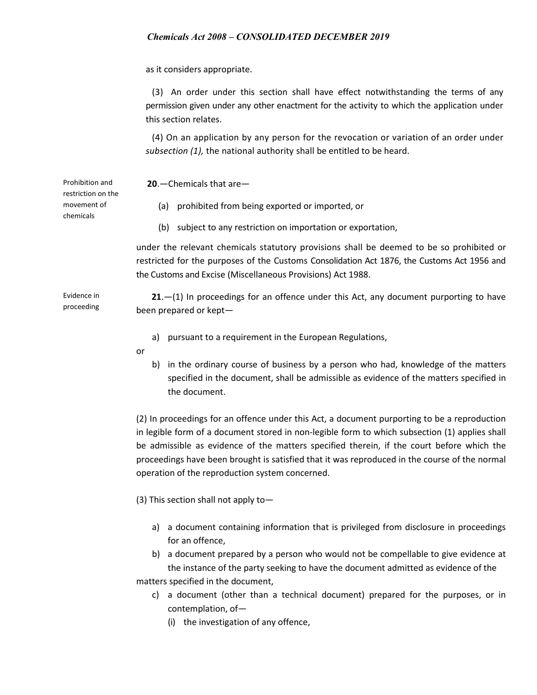as it considers appropriate.

(3) An order under this section shall have effect notwithstanding the terms of any permission given under any other enactment for the activity to which the application under this section relates.

(4) On an application by any person for the revocation or variation of an order under *subsection (1),* the national authority shall be entitled to be heard.

 **20**.—Chemicals that are—

restriction on the movement of chemicals

Evidence in proceeding

Prohibition and

- (a) prohibited from being exported or imported, or
- (b) subject to any restriction on importation or exportation,

under the relevant chemicals statutory provisions shall be deemed to be so prohibited or restricted for the purposes of the Customs Consolidation Act 1876, the Customs Act 1956 and the Customs and Excise (Miscellaneous Provisions) Act 1988.

 **21**.—(1) In proceedings for an offence under this Act, any document purporting to have been prepared or kept—

- a) pursuant to a requirement in the European Regulations,
- or
- b) in the ordinary course of business by a person who had, knowledge of the matters specified in the document, shall be admissible as evidence of the matters specified in the document.

(2) In proceedings for an offence under this Act, a document purporting to be a reproduction in legible form of a document stored in non-legible form to which subsection (1) applies shall be admissible as evidence of the matters specified therein, if the court before which the proceedings have been brought is satisfied that it was reproduced in the course of the normal operation of the reproduction system concerned.

(3) This section shall not apply to—

- a) a document containing information that is privileged from disclosure in proceedings for an offence,
- b) a document prepared by a person who would not be compellable to give evidence at the instance of the party seeking to have the document admitted as evidence of the

matters specified in the document,

- c) a document (other than a technical document) prepared for the purposes, or in contemplation, of—
	- (i) the investigation of any offence,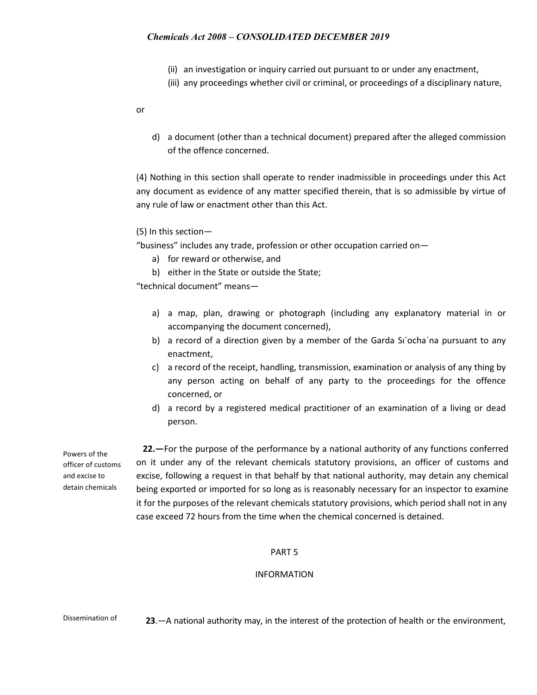- (ii) an investigation or inquiry carried out pursuant to or under any enactment,
- (iii) any proceedings whether civil or criminal, or proceedings of a disciplinary nature,

or

d) a document (other than a technical document) prepared after the alleged commission of the offence concerned.

(4) Nothing in this section shall operate to render inadmissible in proceedings under this Act any document as evidence of any matter specified therein, that is so admissible by virtue of any rule of law or enactment other than this Act.

### (5) In this section—

"business" includes any trade, profession or other occupation carried on—

- a) for reward or otherwise, and
- b) either in the State or outside the State;

"technical document" means—

- a) a map, plan, drawing or photograph (including any explanatory material in or accompanying the document concerned),
- b) a record of a direction given by a member of the Garda Si'ocha'na pursuant to any enactment,
- c) a record of the receipt, handling, transmission, examination or analysis of any thing by any person acting on behalf of any party to the proceedings for the offence concerned, or
- d) a record by a registered medical practitioner of an examination of a living or dead person.

Powers of the officer of customs and excise to detain chemicals

 **22.—**For the purpose of the performance by a national authority of any functions conferred on it under any of the relevant chemicals statutory provisions, an officer of customs and excise, following a request in that behalf by that national authority, may detain any chemical being exported or imported for so long as is reasonably necessary for an inspector to examine it for the purposes of the relevant chemicals statutory provisions, which period shall not in any case exceed 72 hours from the time when the chemical concerned is detained.

### PART 5

### INFORMATION

Dissemination of **23**.—A national authority may, in the interest of the protection of health or the environment,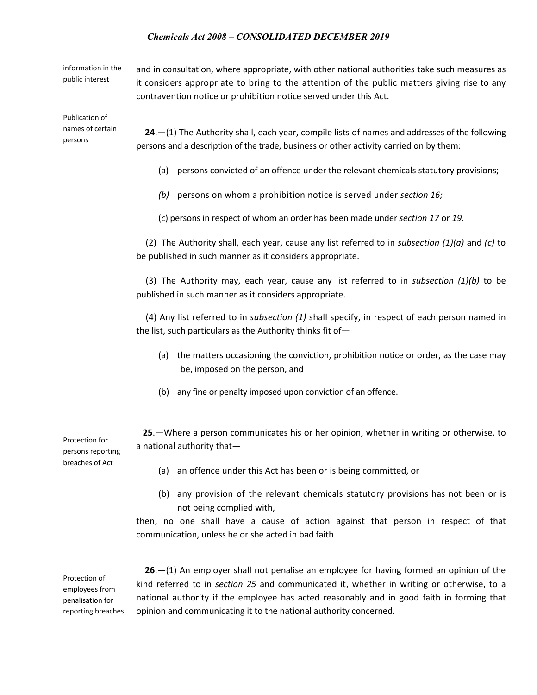information in the public interest

and in consultation, where appropriate, with other national authorities take such measures as it considers appropriate to bring to the attention of the public matters giving rise to any contravention notice or prohibition notice served under this Act.

Publication of names of certain persons

 **24**.—(1) The Authority shall, each year, compile lists of names and addresses of the following persons and a description of the trade, business or other activity carried on by them:

- (a) persons convicted of an offence under the relevant chemicals statutory provisions;
- *(b)* persons on whom a prohibition notice is served under *section 16;*
- (*c*) persons in respect of whom an order has been made under *section 17* or *19.*

(2) The Authority shall, each year, cause any list referred to in *subsection (1)(a)* and *(c)* to be published in such manner as it considers appropriate.

(3) The Authority may, each year, cause any list referred to in *subsection (1)(b)* to be published in such manner as it considers appropriate.

(4) Any list referred to in *subsection (1)* shall specify, in respect of each person named in the list, such particulars as the Authority thinks fit of—

- (a) the matters occasioning the conviction, prohibition notice or order, as the case may be, imposed on the person, and
- (b) any fine or penalty imposed upon conviction of an offence.

 **25**.—Where a person communicates his or her opinion, whether in writing or otherwise, to a national authority that—

Protection for persons reporting breaches of Act

- (a) an offence under this Act has been or is being committed, or
- (b) any provision of the relevant chemicals statutory provisions has not been or is not being complied with,

then, no one shall have a cause of action against that person in respect of that communication, unless he or she acted in bad faith

Protection of employees from penalisation for reporting breaches

 **26**.—(1) An employer shall not penalise an employee for having formed an opinion of the kind referred to in *section 25* and communicated it, whether in writing or otherwise, to a national authority if the employee has acted reasonably and in good faith in forming that opinion and communicating it to the national authority concerned.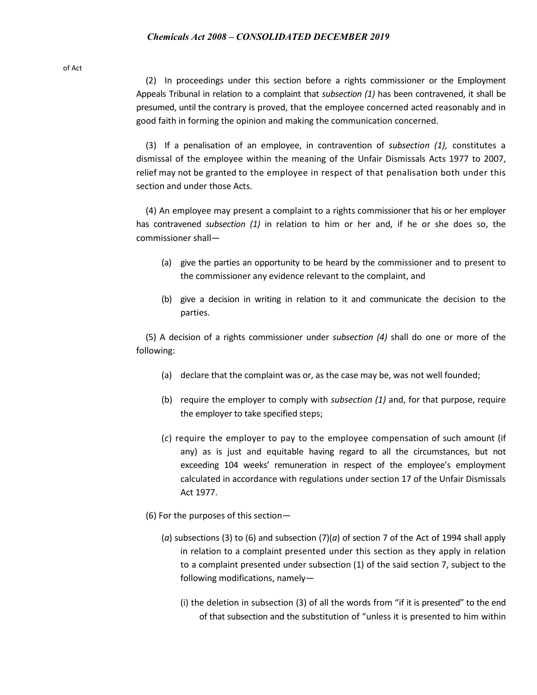of Act

(2) In proceedings under this section before a rights commissioner or the Employment Appeals Tribunal in relation to a complaint that *subsection (1)* has been contravened, it shall be presumed, until the contrary is proved, that the employee concerned acted reasonably and in good faith in forming the opinion and making the communication concerned.

(3) If a penalisation of an employee, in contravention of *subsection (1),* constitutes a dismissal of the employee within the meaning of the Unfair Dismissals Acts 1977 to 2007, relief may not be granted to the employee in respect of that penalisation both under this section and under those Acts.

(4) An employee may present a complaint to a rights commissioner that his or her employer has contravened *subsection (1)* in relation to him or her and, if he or she does so, the commissioner shall—

- (a) give the parties an opportunity to be heard by the commissioner and to present to the commissioner any evidence relevant to the complaint, and
- (b) give a decision in writing in relation to it and communicate the decision to the parties.

(5) A decision of a rights commissioner under *subsection (4)* shall do one or more of the following:

- (a) declare that the complaint was or, as the case may be, was not well founded;
- (b) require the employer to comply with *subsection (1)* and, for that purpose, require the employer to take specified steps;
- (*c*) require the employer to pay to the employee compensation of such amount (if any) as is just and equitable having regard to all the circumstances, but not exceeding 104 weeks' remuneration in respect of the employee's employment calculated in accordance with regulations under section 17 of the Unfair Dismissals Act 1977.
- (6) For the purposes of this section—
	- (*a*) subsections (3) to (6) and subsection (7)(*a*) of section 7 of the Act of 1994 shall apply in relation to a complaint presented under this section as they apply in relation to a complaint presented under subsection (1) of the said section 7, subject to the following modifications, namely—
		- (i) the deletion in subsection (3) of all the words from "if it is presented" to the end of that subsection and the substitution of "unless it is presented to him within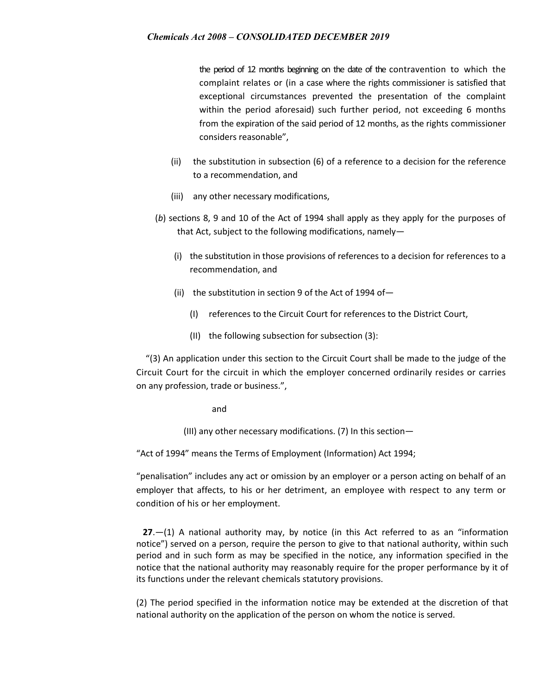the period of 12 months beginning on the date of the contravention to which the complaint relates or (in a case where the rights commissioner is satisfied that exceptional circumstances prevented the presentation of the complaint within the period aforesaid) such further period, not exceeding 6 months from the expiration of the said period of 12 months, as the rights commissioner considers reasonable",

- (ii) the substitution in subsection (6) of a reference to a decision for the reference to a recommendation, and
- (iii) any other necessary modifications,
- (*b*) sections 8, 9 and 10 of the Act of 1994 shall apply as they apply for the purposes of that Act, subject to the following modifications, namely—
	- (i) the substitution in those provisions of references to a decision for references to a recommendation, and
	- (ii) the substitution in section 9 of the Act of 1994 of  $-$ 
		- (I) references to the Circuit Court for references to the District Court,
		- (II) the following subsection for subsection (3):

"(3) An application under this section to the Circuit Court shall be made to the judge of the Circuit Court for the circuit in which the employer concerned ordinarily resides or carries on any profession, trade or business.",

### and

(III) any other necessary modifications. (7) In this section—

"Act of 1994" means the Terms of Employment (Information) Act 1994;

"penalisation" includes any act or omission by an employer or a person acting on behalf of an employer that affects, to his or her detriment, an employee with respect to any term or condition of his or her employment.

 **27**.—(1) A national authority may, by notice (in this Act referred to as an "information notice") served on a person, require the person to give to that national authority, within such period and in such form as may be specified in the notice, any information specified in the notice that the national authority may reasonably require for the proper performance by it of its functions under the relevant chemicals statutory provisions.

(2) The period specified in the information notice may be extended at the discretion of that national authority on the application of the person on whom the notice is served.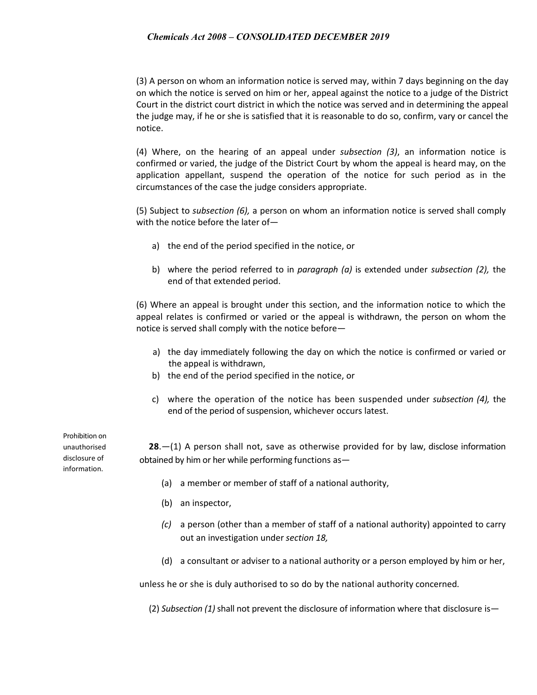(3) A person on whom an information notice is served may, within 7 days beginning on the day on which the notice is served on him or her, appeal against the notice to a judge of the District Court in the district court district in which the notice was served and in determining the appeal the judge may, if he or she is satisfied that it is reasonable to do so, confirm, vary or cancel the notice.

(4) Where, on the hearing of an appeal under *subsection (3)*, an information notice is confirmed or varied, the judge of the District Court by whom the appeal is heard may, on the application appellant, suspend the operation of the notice for such period as in the circumstances of the case the judge considers appropriate.

(5) Subject to *subsection (6),* a person on whom an information notice is served shall comply with the notice before the later of—

- a) the end of the period specified in the notice, or
- b) where the period referred to in *paragraph (a)* is extended under *subsection (2),* the end of that extended period.

(6) Where an appeal is brought under this section, and the information notice to which the appeal relates is confirmed or varied or the appeal is withdrawn, the person on whom the notice is served shall comply with the notice before—

- a) the day immediately following the day on which the notice is confirmed or varied or the appeal is withdrawn,
- b) the end of the period specified in the notice, or
- c) where the operation of the notice has been suspended under *subsection (4),* the end of the period of suspension, whichever occurs latest.

Prohibition on unauthorised disclosure of information.

**28**.—(1) A person shall not, save as otherwise provided for by law, disclose information obtained by him or her while performing functions as—

- (a) a member or member of staff of a national authority,
- (b) an inspector,
- *(c)* a person (other than a member of staff of a national authority) appointed to carry out an investigation under *section 18,*
- (d) a consultant or adviser to a national authority or a person employed by him or her,

unless he or she is duly authorised to so do by the national authority concerned.

(2) *Subsection (1)* shall not prevent the disclosure of information where that disclosure is—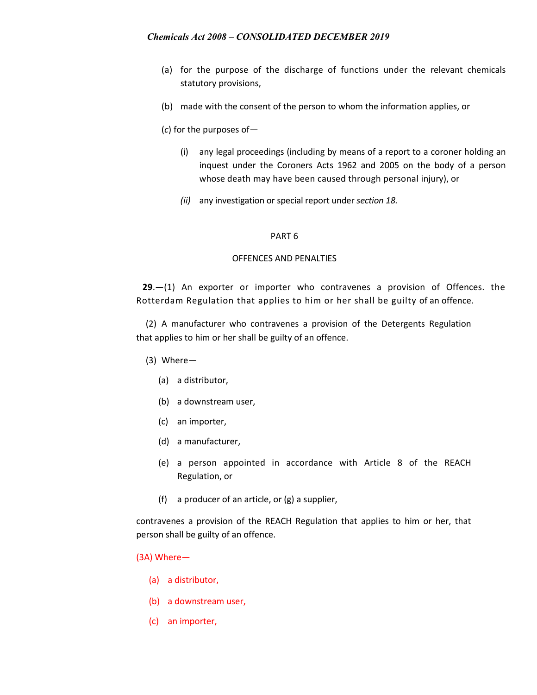- (a) for the purpose of the discharge of functions under the relevant chemicals statutory provisions,
- (b) made with the consent of the person to whom the information applies, or
- (*c*) for the purposes of—
	- (i) any legal proceedings (including by means of a report to a coroner holding an inquest under the Coroners Acts 1962 and 2005 on the body of a person whose death may have been caused through personal injury), or
	- *(ii)* any investigation or special report under *section 18.*

### PART 6

### OFFENCES AND PENALTIES

**29**.—(1) An exporter or importer who contravenes a provision of Offences. the Rotterdam Regulation that applies to him or her shall be guilty of an offence.

(2) A manufacturer who contravenes a provision of the Detergents Regulation that applies to him or her shall be guilty of an offence.

- (3) Where—
	- (a) a distributor,
	- (b) a downstream user,
	- (c) an importer,
	- (d) a manufacturer,
	- (e) a person appointed in accordance with Article 8 of the REACH Regulation, or
	- (f) a producer of an article, or (g) a supplier,

contravenes a provision of the REACH Regulation that applies to him or her, that person shall be guilty of an offence.

#### (3A) Where—

- (a) a distributor,
- (b) a downstream user,
- (c) an importer,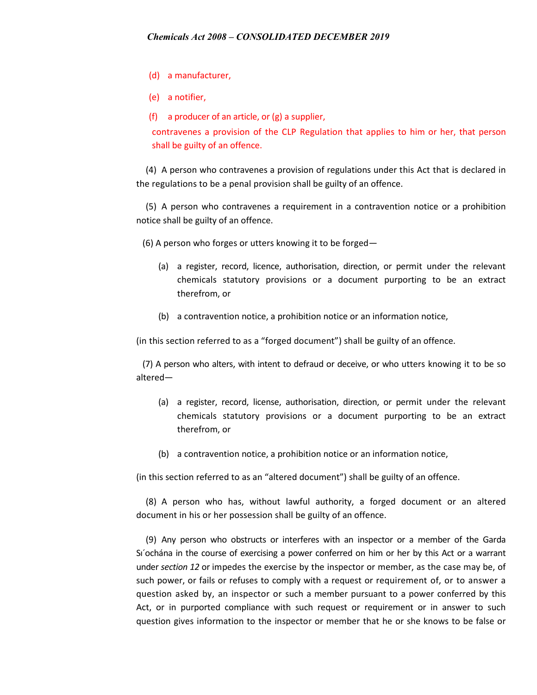- (d) a manufacturer,
- (e) a notifier,
- (f) a producer of an article, or  $(g)$  a supplier,

contravenes a provision of the CLP Regulation that applies to him or her, that person shall be guilty of an offence.

(4) A person who contravenes a provision of regulations under this Act that is declared in the regulations to be a penal provision shall be guilty of an offence.

(5) A person who contravenes a requirement in a contravention notice or a prohibition notice shall be guilty of an offence.

(6) A person who forges or utters knowing it to be forged—

- (a) a register, record, licence, authorisation, direction, or permit under the relevant chemicals statutory provisions or a document purporting to be an extract therefrom, or
- (b) a contravention notice, a prohibition notice or an information notice,

(in this section referred to as a "forged document") shall be guilty of an offence.

(7) A person who alters, with intent to defraud or deceive, or who utters knowing it to be so altered—

- (a) a register, record, license, authorisation, direction, or permit under the relevant chemicals statutory provisions or a document purporting to be an extract therefrom, or
- (b) a contravention notice, a prohibition notice or an information notice,

(in this section referred to as an "altered document") shall be guilty of an offence.

(8) A person who has, without lawful authority, a forged document or an altered document in his or her possession shall be guilty of an offence.

(9) Any person who obstructs or interferes with an inspector or a member of the Garda Sı´ochána in the course of exercising a power conferred on him or her by this Act or a warrant under *section 12* or impedes the exercise by the inspector or member, as the case may be, of such power, or fails or refuses to comply with a request or requirement of, or to answer a question asked by, an inspector or such a member pursuant to a power conferred by this Act, or in purported compliance with such request or requirement or in answer to such question gives information to the inspector or member that he or she knows to be false or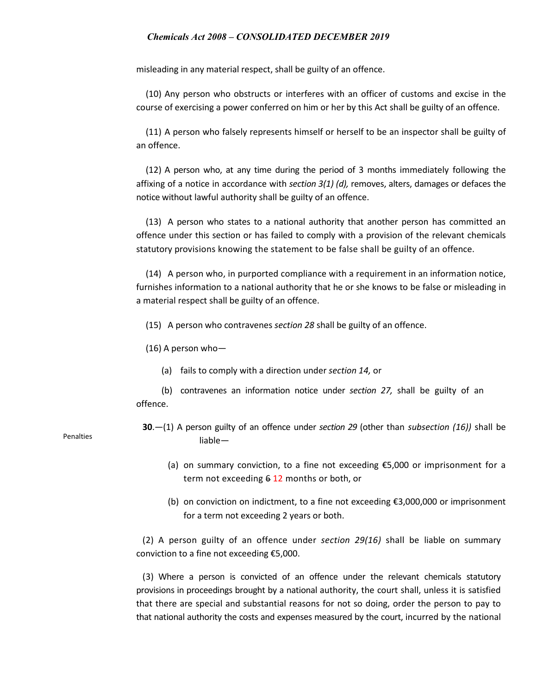misleading in any material respect, shall be guilty of an offence.

(10) Any person who obstructs or interferes with an officer of customs and excise in the course of exercising a power conferred on him or her by this Act shall be guilty of an offence.

(11) A person who falsely represents himself or herself to be an inspector shall be guilty of an offence.

(12) A person who, at any time during the period of 3 months immediately following the affixing of a notice in accordance with *section 3(1) (d),* removes, alters, damages or defaces the notice without lawful authority shall be guilty of an offence.

(13) A person who states to a national authority that another person has committed an offence under this section or has failed to comply with a provision of the relevant chemicals statutory provisions knowing the statement to be false shall be guilty of an offence.

(14) A person who, in purported compliance with a requirement in an information notice, furnishes information to a national authority that he or she knows to be false or misleading in a material respect shall be guilty of an offence.

(15) A person who contravenes *section 28* shall be guilty of an offence.

(16) A person who—

(a) fails to comply with a direction under *section 14,* or

(b) contravenes an information notice under *section 27,* shall be guilty of an offence.

- **30**.—(1) A person guilty of an offence under *section 29* (other than *subsection (16))* shall be liable—
	- (a) on summary conviction, to a fine not exceeding €5,000 or imprisonment for a term not exceeding 6 12 months or both, or
	- (b) on conviction on indictment, to a fine not exceeding €3,000,000 or imprisonment for a term not exceeding 2 years or both.

(2) A person guilty of an offence under *section 29(16)* shall be liable on summary conviction to a fine not exceeding €5,000.

(3) Where a person is convicted of an offence under the relevant chemicals statutory provisions in proceedings brought by a national authority, the court shall, unless it is satisfied that there are special and substantial reasons for not so doing, order the person to pay to that national authority the costs and expenses measured by the court, incurred by the national

Penalties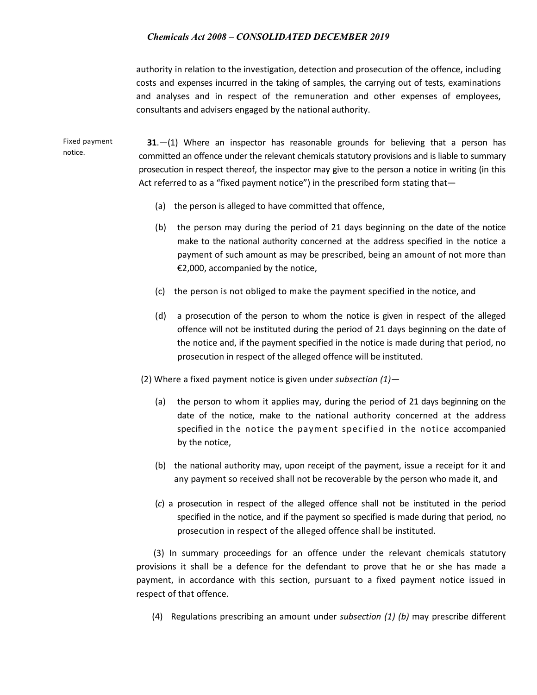authority in relation to the investigation, detection and prosecution of the offence, including costs and expenses incurred in the taking of samples, the carrying out of tests, examinations and analyses and in respect of the remuneration and other expenses of employees, consultants and advisers engaged by the national authority.

Fixed payment notice. **31**.—(1) Where an inspector has reasonable grounds for believing that a person has committed an offence under the relevant chemicals statutory provisions and is liable to summary prosecution in respect thereof, the inspector may give to the person a notice in writing (in this Act referred to as a "fixed payment notice") in the prescribed form stating that-

- (a) the person is alleged to have committed that offence,
- (b) the person may during the period of 21 days beginning on the date of the notice make to the national authority concerned at the address specified in the notice a payment of such amount as may be prescribed, being an amount of not more than €2,000, accompanied by the notice,
- (c) the person is not obliged to make the payment specified in the notice, and
- (d) a prosecution of the person to whom the notice is given in respect of the alleged offence will not be instituted during the period of 21 days beginning on the date of the notice and, if the payment specified in the notice is made during that period, no prosecution in respect of the alleged offence will be instituted.

(2) Where a fixed payment notice is given under *subsection (1)—*

- (a) the person to whom it applies may, during the period of 21 days beginning on the date of the notice, make to the national authority concerned at the address specified in the notice the payment specified in the notice accompanied by the notice,
- (b) the national authority may, upon receipt of the payment, issue a receipt for it and any payment so received shall not be recoverable by the person who made it, and
- (*c*) a prosecution in respect of the alleged offence shall not be instituted in the period specified in the notice, and if the payment so specified is made during that period, no prosecution in respect of the alleged offence shall be instituted.

 (3) In summary proceedings for an offence under the relevant chemicals statutory provisions it shall be a defence for the defendant to prove that he or she has made a payment, in accordance with this section, pursuant to a fixed payment notice issued in respect of that offence.

(4) Regulations prescribing an amount under *subsection (1) (b)* may prescribe different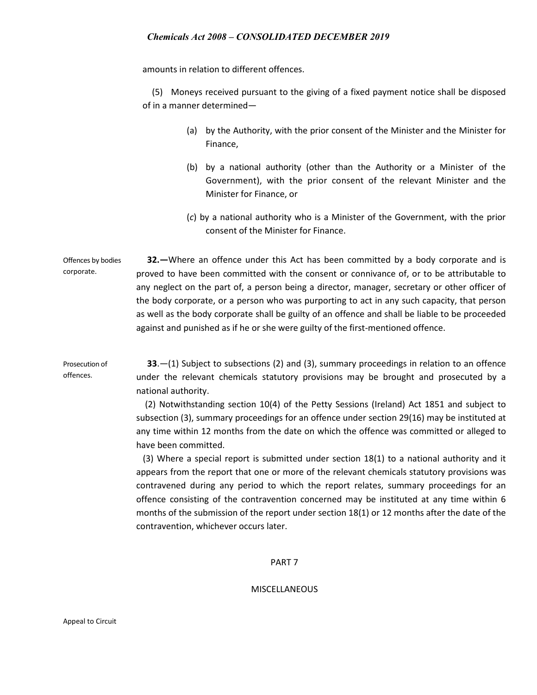amounts in relation to different offences.

(5) Moneys received pursuant to the giving of a fixed payment notice shall be disposed of in a manner determined—

- (a) by the Authority, with the prior consent of the Minister and the Minister for Finance,
- (b) by a national authority (other than the Authority or a Minister of the Government), with the prior consent of the relevant Minister and the Minister for Finance, or
- (*c*) by a national authority who is a Minister of the Government, with the prior consent of the Minister for Finance.

Offences by bodies corporate.  **32.—**Where an offence under this Act has been committed by a body corporate and is proved to have been committed with the consent or connivance of, or to be attributable to any neglect on the part of, a person being a director, manager, secretary or other officer of the body corporate, or a person who was purporting to act in any such capacity, that person as well as the body corporate shall be guilty of an offence and shall be liable to be proceeded against and punished as if he or she were guilty of the first-mentioned offence.

Prosecution of **33**.—(1) Subject to subsections (2) and (3), summary proceedings in relation to an offence under the relevant chemicals statutory provisions may be brought and prosecuted by a national authority.

> (2) Notwithstanding section 10(4) of the Petty Sessions (Ireland) Act 1851 and subject to subsection (3), summary proceedings for an offence under section 29(16) may be instituted at any time within 12 months from the date on which the offence was committed or alleged to have been committed.

> (3) Where a special report is submitted under section 18(1) to a national authority and it appears from the report that one or more of the relevant chemicals statutory provisions was contravened during any period to which the report relates, summary proceedings for an offence consisting of the contravention concerned may be instituted at any time within 6 months of the submission of the report under section 18(1) or 12 months after the date of the contravention, whichever occurs later.

#### PART 7

### MISCELLANEOUS

offences.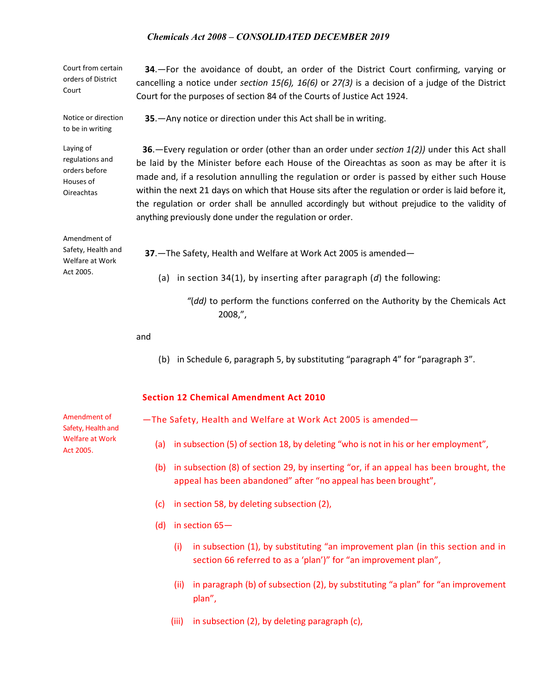| Court from certain<br>orders of District<br>Court                               | 34. - For the avoidance of doubt, an order of the District Court confirming, varying or<br>cancelling a notice under section 15(6), 16(6) or 27(3) is a decision of a judge of the District<br>Court for the purposes of section 84 of the Courts of Justice Act 1924.                                                                                                                                                                                                                                                                                     |
|---------------------------------------------------------------------------------|------------------------------------------------------------------------------------------------------------------------------------------------------------------------------------------------------------------------------------------------------------------------------------------------------------------------------------------------------------------------------------------------------------------------------------------------------------------------------------------------------------------------------------------------------------|
| Notice or direction<br>to be in writing                                         | 35. - Any notice or direction under this Act shall be in writing.                                                                                                                                                                                                                                                                                                                                                                                                                                                                                          |
| Laying of<br>regulations and<br>orders before<br>Houses of<br><b>Oireachtas</b> | 36. - Every regulation or order (other than an order under section 1(2)) under this Act shall<br>be laid by the Minister before each House of the Oireachtas as soon as may be after it is<br>made and, if a resolution annulling the regulation or order is passed by either such House<br>within the next 21 days on which that House sits after the regulation or order is laid before it,<br>the regulation or order shall be annulled accordingly but without prejudice to the validity of<br>anything previously done under the regulation or order. |
| Amendment of<br>Safety, Health and<br>Welfare at Work<br>Act 2005.              | 37. - The Safety, Health and Welfare at Work Act 2005 is amended-<br>(a) in section 34(1), by inserting after paragraph $(d)$ the following:<br>"(dd) to perform the functions conferred on the Authority by the Chemicals Act                                                                                                                                                                                                                                                                                                                             |
|                                                                                 | 2008,"                                                                                                                                                                                                                                                                                                                                                                                                                                                                                                                                                     |

and

(b) in Schedule 6, paragraph 5, by substituting "paragraph 4" for "paragraph 3".

# **Section 12 Chemical Amendment Act 2010**

—The Safety, Health and Welfare at Work Act 2005 is amended—

- (a) in subsection (5) of section 18, by deleting "who is not in his or her employment",
- (b) in subsection (8) of section 29, by inserting "or, if an appeal has been brought, the appeal has been abandoned" after "no appeal has been brought",
- (c) in section 58, by deleting subsection (2),
- (d) in section 65—
	- (i) in subsection (1), by substituting "an improvement plan (in this section and in section 66 referred to as a 'plan')" for "an improvement plan",
	- (ii) in paragraph (b) of subsection (2), by substituting "a plan" for "an improvement plan",
	- (iii) in subsection (2), by deleting paragraph (c),

Amendment of Safety, Health and Welfare at Work Act 2005.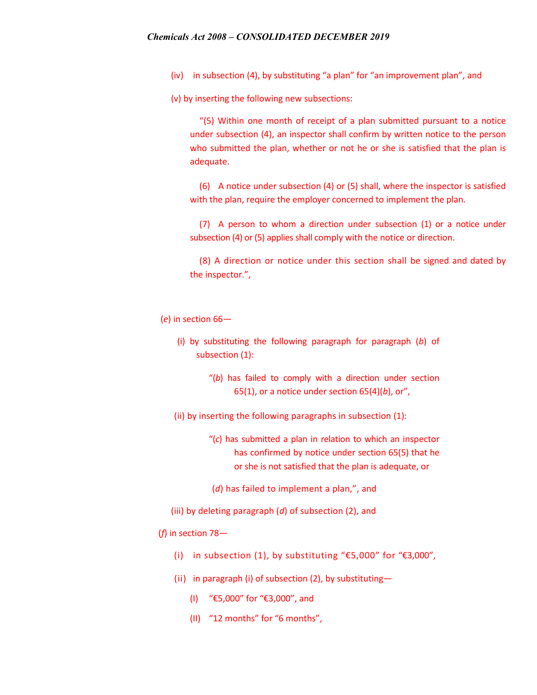(iv) in subsection (4), by substituting "a plan" for "an improvement plan", and

(v) by inserting the following new subsections:

"(5) Within one month of receipt of a plan submitted pursuant to a notice under subsection (4), an inspector shall confirm by written notice to the person who submitted the plan, whether or not he or she is satisfied that the plan is adequate.

(6) A notice under subsection (4) or (5) shall, where the inspector is satisfied with the plan, require the employer concerned to implement the plan.

(7) A person to whom a direction under subsection (1) or a notice under subsection (4) or (5) applies shall comply with the notice or direction.

(8) A direction or notice under this section shall be signed and dated by the inspector.",

### (*e*) in section 66—

- (i) by substituting the following paragraph for paragraph (*b*) of subsection (1):
	- "(*b*) has failed to comply with a direction under section 65(1), or a notice under section 65(4)(*b*), or",

(ii) by inserting the following paragraphs in subsection (1):

- "(*c*) has submitted a plan in relation to which an inspector has confirmed by notice under section 65(5) that he or she is not satisfied that the plan is adequate, or
- (*d*) has failed to implement a plan,", and
- (iii) by deleting paragraph (*d*) of subsection (2), and

# (*f*) in section 78—

- (i) in subsection (1), by substituting "€5,000" for "€3,000",
- (ii) in paragraph (i) of subsection (2), by substituting—
	- (I) "€5,000" for "€3,000", and
	- (II) "12 months" for "6 months",